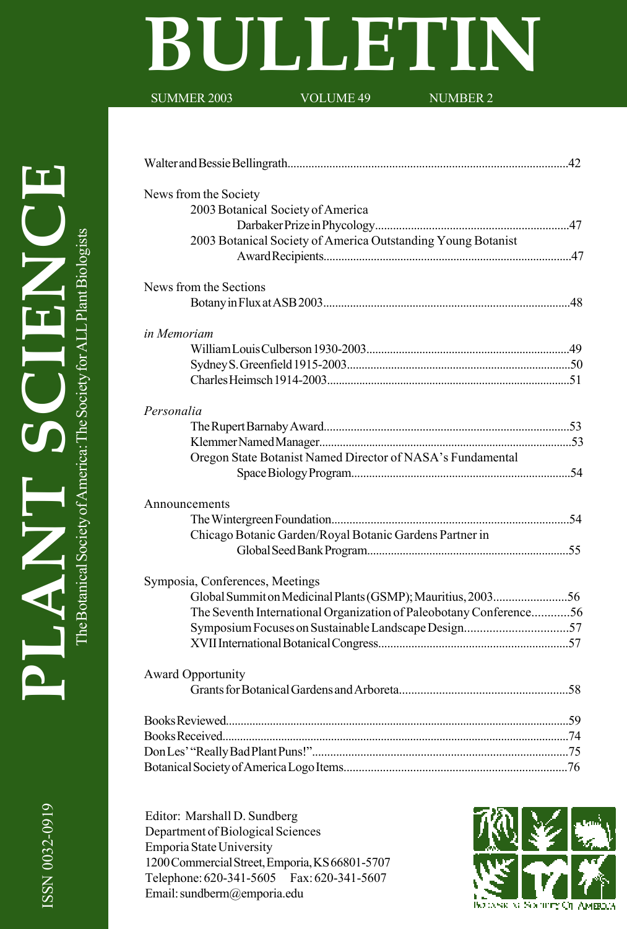# **BULLETIN**

#### SUMMER 2003 VOLUME 49 NUMBER 2

| News from the Sections          |                                                                                                                                                                                                                                                                                                                                                                                                                                                                                            |
|---------------------------------|--------------------------------------------------------------------------------------------------------------------------------------------------------------------------------------------------------------------------------------------------------------------------------------------------------------------------------------------------------------------------------------------------------------------------------------------------------------------------------------------|
|                                 |                                                                                                                                                                                                                                                                                                                                                                                                                                                                                            |
|                                 |                                                                                                                                                                                                                                                                                                                                                                                                                                                                                            |
|                                 |                                                                                                                                                                                                                                                                                                                                                                                                                                                                                            |
|                                 |                                                                                                                                                                                                                                                                                                                                                                                                                                                                                            |
|                                 |                                                                                                                                                                                                                                                                                                                                                                                                                                                                                            |
| Personalia                      |                                                                                                                                                                                                                                                                                                                                                                                                                                                                                            |
|                                 |                                                                                                                                                                                                                                                                                                                                                                                                                                                                                            |
|                                 |                                                                                                                                                                                                                                                                                                                                                                                                                                                                                            |
|                                 |                                                                                                                                                                                                                                                                                                                                                                                                                                                                                            |
|                                 |                                                                                                                                                                                                                                                                                                                                                                                                                                                                                            |
| Announcements                   |                                                                                                                                                                                                                                                                                                                                                                                                                                                                                            |
|                                 |                                                                                                                                                                                                                                                                                                                                                                                                                                                                                            |
|                                 |                                                                                                                                                                                                                                                                                                                                                                                                                                                                                            |
|                                 |                                                                                                                                                                                                                                                                                                                                                                                                                                                                                            |
| Symposia, Conferences, Meetings |                                                                                                                                                                                                                                                                                                                                                                                                                                                                                            |
|                                 |                                                                                                                                                                                                                                                                                                                                                                                                                                                                                            |
|                                 |                                                                                                                                                                                                                                                                                                                                                                                                                                                                                            |
|                                 |                                                                                                                                                                                                                                                                                                                                                                                                                                                                                            |
|                                 |                                                                                                                                                                                                                                                                                                                                                                                                                                                                                            |
|                                 |                                                                                                                                                                                                                                                                                                                                                                                                                                                                                            |
|                                 |                                                                                                                                                                                                                                                                                                                                                                                                                                                                                            |
|                                 |                                                                                                                                                                                                                                                                                                                                                                                                                                                                                            |
|                                 | News from the Society<br>2003 Botanical Society of America<br>2003 Botanical Society of America Outstanding Young Botanist<br>in Memoriam<br>Oregon State Botanist Named Director of NASA's Fundamental<br>Chicago Botanic Garden/Royal Botanic Gardens Partner in<br>Global Summit on Medicinal Plants (GSMP); Mauritius, 200356<br>The Seventh International Organization of Paleobotany Conference56<br>Symposium Focuses on Sustainable Landscape Design57<br><b>Award Opportunity</b> |

| News from the Society                                              |  |
|--------------------------------------------------------------------|--|
| 2003 Botanical Society of America                                  |  |
|                                                                    |  |
| 2003 Botanical Society of America Outstanding Young Botanist       |  |
|                                                                    |  |
| News from the Sections                                             |  |
|                                                                    |  |
| in Memoriam                                                        |  |
|                                                                    |  |
|                                                                    |  |
|                                                                    |  |
| Personalia                                                         |  |
|                                                                    |  |
|                                                                    |  |
| Oregon State Botanist Named Director of NASA's Fundamental         |  |
|                                                                    |  |
| Announcements                                                      |  |
|                                                                    |  |
| Chicago Botanic Garden/Royal Botanic Gardens Partner in            |  |
|                                                                    |  |
| Symposia, Conferences, Meetings                                    |  |
| Global Summit on Medicinal Plants (GSMP); Mauritius, 200356        |  |
| The Seventh International Organization of Paleobotany Conference56 |  |
| Symposium Focuses on Sustainable Landscape Design57                |  |
|                                                                    |  |
| <b>Award Opportunity</b>                                           |  |
|                                                                    |  |
|                                                                    |  |
|                                                                    |  |
|                                                                    |  |
|                                                                    |  |
|                                                                    |  |

Editor: Marshall D. Sundberg Department of Biological Sciences Emporia State University 1200 Commercial Street, Emporia, KS 66801-5707 Telephone: 620-341-5605 Fax: 620-341-5607 Email: sundberm@emporia.edu

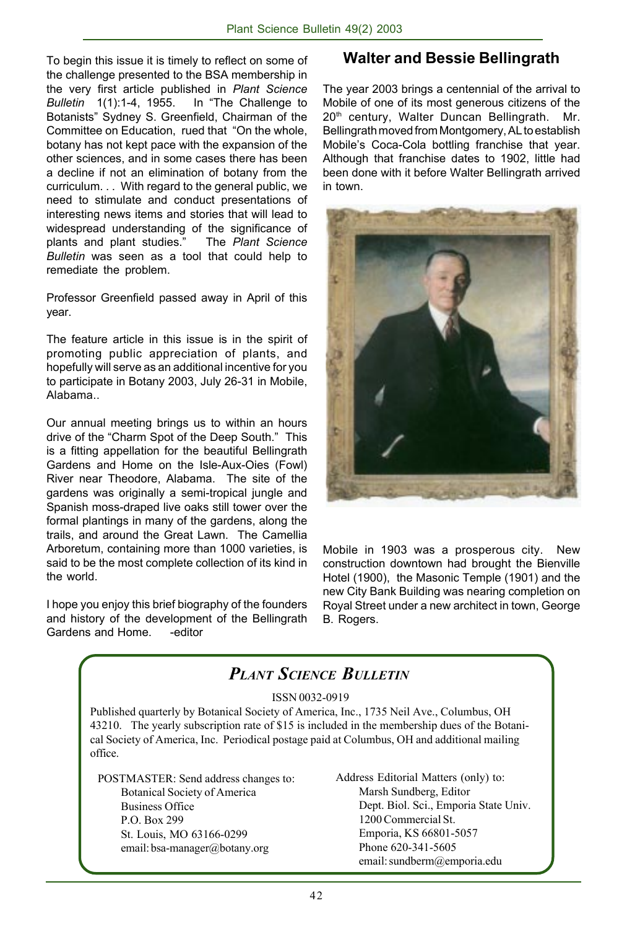To begin this issue it is timely to reflect on some of the challenge presented to the BSA membership in the very first article published in *Plant Science Bulletin* 1(1):1-4, 1955. In "The Challenge to Botanists" Sydney S. Greenfield, Chairman of the Committee on Education, rued that "On the whole, botany has not kept pace with the expansion of the other sciences, and in some cases there has been a decline if not an elimination of botany from the curriculum. . . With regard to the general public, we need to stimulate and conduct presentations of interesting news items and stories that will lead to widespread understanding of the significance of plants and plant studies." The *Plant Science Bulletin* was seen as a tool that could help to remediate the problem.

Professor Greenfield passed away in April of this year.

The feature article in this issue is in the spirit of promoting public appreciation of plants, and hopefully will serve as an additional incentive for you to participate in Botany 2003, July 26-31 in Mobile, Alabama..

Our annual meeting brings us to within an hours drive of the "Charm Spot of the Deep South." This is a fitting appellation for the beautiful Bellingrath Gardens and Home on the Isle-Aux-Oies (Fowl) River near Theodore, Alabama. The site of the gardens was originally a semi-tropical jungle and Spanish moss-draped live oaks still tower over the formal plantings in many of the gardens, along the trails, and around the Great Lawn. The Camellia Arboretum, containing more than 1000 varieties, is said to be the most complete collection of its kind in the world.

I hope you enjoy this brief biography of the founders and history of the development of the Bellingrath Gardens and Home. -editor

# **Walter and Bessie Bellingrath**

The year 2003 brings a centennial of the arrival to Mobile of one of its most generous citizens of the 20<sup>th</sup> century, Walter Duncan Bellingrath. Mr. Bellingrath moved from Montgomery, AL to establish Mobile's Coca-Cola bottling franchise that year. Although that franchise dates to 1902, little had been done with it before Walter Bellingrath arrived in town.



Mobile in 1903 was a prosperous city. New construction downtown had brought the Bienville Hotel (1900), the Masonic Temple (1901) and the new City Bank Building was nearing completion on Royal Street under a new architect in town, George B. Rogers.

#### *PLANT SCIENCE BULLETIN* POSTMASTER: Send address changes to: Botanical Society of America Business Office P.O. Box 299 St. Louis, MO 63166-0299 email: bsa-manager@botany.org Address Editorial Matters (only) to: Marsh Sundberg, Editor Dept. Biol. Sci., Emporia State Univ. 1200 Commercial St. Emporia, KS 66801-5057 Phone 620-341-5605 email: sundberm@emporia.edu ISSN 0032-0919 Published quarterly by Botanical Society of America, Inc., 1735 Neil Ave., Columbus, OH 43210. The yearly subscription rate of \$15 is included in the membership dues of the Botanical Society of America, Inc. Periodical postage paid at Columbus, OH and additional mailing office.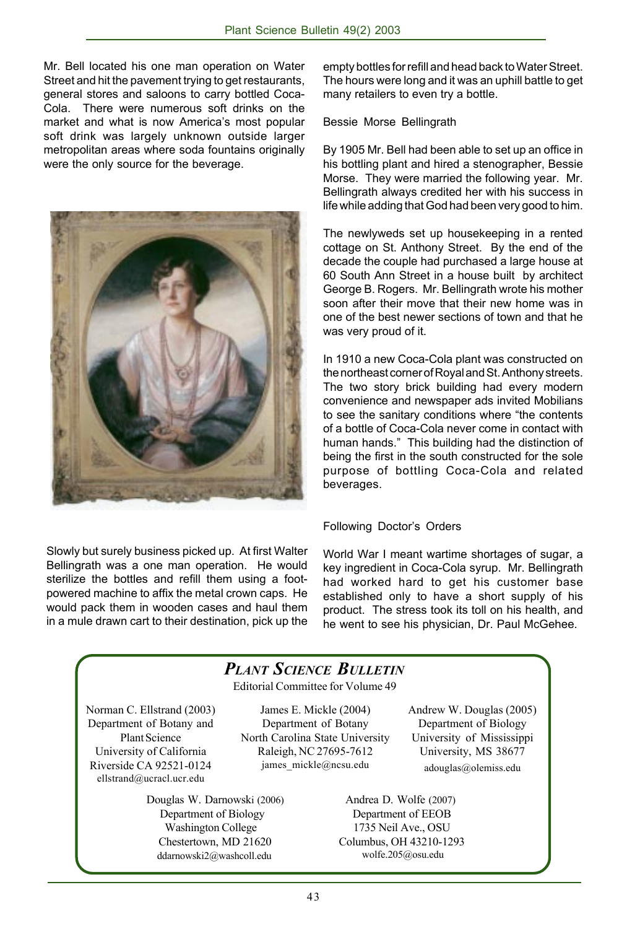Mr. Bell located his one man operation on Water Street and hit the pavement trying to get restaurants, general stores and saloons to carry bottled Coca-Cola. There were numerous soft drinks on the market and what is now America's most popular soft drink was largely unknown outside larger metropolitan areas where soda fountains originally were the only source for the beverage.



Slowly but surely business picked up. At first Walter Bellingrath was a one man operation. He would sterilize the bottles and refill them using a footpowered machine to affix the metal crown caps. He would pack them in wooden cases and haul them in a mule drawn cart to their destination, pick up the empty bottles for refill and head back to Water Street. The hours were long and it was an uphill battle to get many retailers to even try a bottle.

Bessie Morse Bellingrath

By 1905 Mr. Bell had been able to set up an office in his bottling plant and hired a stenographer, Bessie Morse. They were married the following year. Mr. Bellingrath always credited her with his success in life while adding that God had been very good to him.

The newlyweds set up housekeeping in a rented cottage on St. Anthony Street. By the end of the decade the couple had purchased a large house at 60 South Ann Street in a house built by architect George B. Rogers. Mr. Bellingrath wrote his mother soon after their move that their new home was in one of the best newer sections of town and that he was very proud of it.

In 1910 a new Coca-Cola plant was constructed on the northeast corner of Royal and St. Anthony streets. The two story brick building had every modern convenience and newspaper ads invited Mobilians to see the sanitary conditions where "the contents of a bottle of Coca-Cola never come in contact with human hands." This building had the distinction of being the first in the south constructed for the sole purpose of bottling Coca-Cola and related beverages.

#### Following Doctor's Orders

World War I meant wartime shortages of sugar, a key ingredient in Coca-Cola syrup. Mr. Bellingrath had worked hard to get his customer base established only to have a short supply of his product. The stress took its toll on his health, and he went to see his physician, Dr. Paul McGehee.

# *PLANT SCIENCE BULLETIN*

Editorial Committee for Volume 49

Norman C. Ellstrand (2003) Department of Botany and Plant Science University of California Riverside CA 92521-0124 ellstrand@ucracl.ucr.edu

> Douglas W. Darnowski (2006) Department of Biology Washington College Chestertown, MD 21620 ddarnowski2@washcoll.edu

James E. Mickle (2004) Department of Botany North Carolina State University Raleigh, NC 27695-7612 james\_mickle@ncsu.edu

Andrew W. Douglas (2005) Department of Biology University of Mississippi University, MS 38677 adouglas@olemiss.edu

Andrea D. Wolfe (2007) Department of EEOB 1735 Neil Ave., OSU Columbus, OH 43210-1293 wolfe.205@osu.edu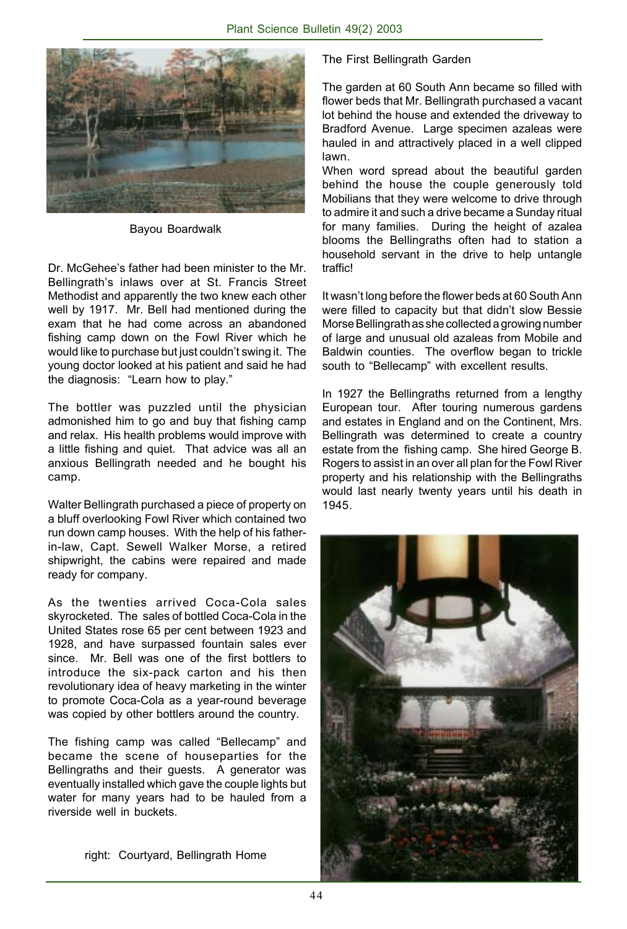

Bayou Boardwalk

Dr. McGehee's father had been minister to the Mr. Bellingrath's inlaws over at St. Francis Street Methodist and apparently the two knew each other well by 1917. Mr. Bell had mentioned during the exam that he had come across an abandoned fishing camp down on the Fowl River which he would like to purchase but just couldn't swing it. The young doctor looked at his patient and said he had the diagnosis: "Learn how to play."

The bottler was puzzled until the physician admonished him to go and buy that fishing camp and relax. His health problems would improve with a little fishing and quiet. That advice was all an anxious Bellingrath needed and he bought his camp.

Walter Bellingrath purchased a piece of property on a bluff overlooking Fowl River which contained two run down camp houses. With the help of his fatherin-law, Capt. Sewell Walker Morse, a retired shipwright, the cabins were repaired and made ready for company.

As the twenties arrived Coca-Cola sales skyrocketed. The sales of bottled Coca-Cola in the United States rose 65 per cent between 1923 and 1928, and have surpassed fountain sales ever since. Mr. Bell was one of the first bottlers to introduce the six-pack carton and his then revolutionary idea of heavy marketing in the winter to promote Coca-Cola as a year-round beverage was copied by other bottlers around the country.

The fishing camp was called "Bellecamp" and became the scene of houseparties for the Bellingraths and their guests. A generator was eventually installed which gave the couple lights but water for many years had to be hauled from a riverside well in buckets.

right: Courtyard, Bellingrath Home

The First Bellingrath Garden

The garden at 60 South Ann became so filled with flower beds that Mr. Bellingrath purchased a vacant lot behind the house and extended the driveway to Bradford Avenue. Large specimen azaleas were hauled in and attractively placed in a well clipped lawn.

When word spread about the beautiful garden behind the house the couple generously told Mobilians that they were welcome to drive through to admire it and such a drive became a Sunday ritual for many families. During the height of azalea blooms the Bellingraths often had to station a household servant in the drive to help untangle traffic!

It wasn't long before the flower beds at 60 South Ann were filled to capacity but that didn't slow Bessie Morse Bellingrath as she collected a growing number of large and unusual old azaleas from Mobile and Baldwin counties. The overflow began to trickle south to "Bellecamp" with excellent results.

In 1927 the Bellingraths returned from a lengthy European tour. After touring numerous gardens and estates in England and on the Continent, Mrs. Bellingrath was determined to create a country estate from the fishing camp. She hired George B. Rogers to assist in an over all plan for the Fowl River property and his relationship with the Bellingraths would last nearly twenty years until his death in 1945.

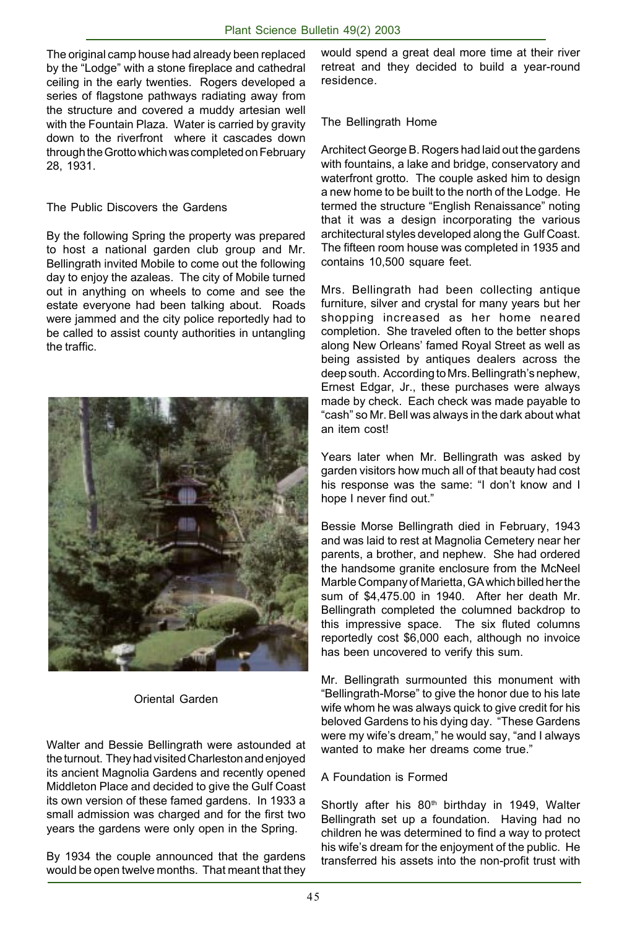The original camp house had already been replaced by the "Lodge" with a stone fireplace and cathedral ceiling in the early twenties. Rogers developed a series of flagstone pathways radiating away from the structure and covered a muddy artesian well with the Fountain Plaza. Water is carried by gravity down to the riverfront where it cascades down through the Grotto which was completed on February 28, 1931.

#### The Public Discovers the Gardens

By the following Spring the property was prepared to host a national garden club group and Mr. Bellingrath invited Mobile to come out the following day to enjoy the azaleas. The city of Mobile turned out in anything on wheels to come and see the estate everyone had been talking about. Roads were jammed and the city police reportedly had to be called to assist county authorities in untangling the traffic.



#### Oriental Garden

Walter and Bessie Bellingrath were astounded at the turnout. They had visited Charleston and enjoyed its ancient Magnolia Gardens and recently opened Middleton Place and decided to give the Gulf Coast its own version of these famed gardens. In 1933 a small admission was charged and for the first two years the gardens were only open in the Spring.

By 1934 the couple announced that the gardens would be open twelve months. That meant that they would spend a great deal more time at their river retreat and they decided to build a year-round residence.

#### The Bellingrath Home

Architect George B. Rogers had laid out the gardens with fountains, a lake and bridge, conservatory and waterfront grotto. The couple asked him to design a new home to be built to the north of the Lodge. He termed the structure "English Renaissance" noting that it was a design incorporating the various architectural styles developed along the Gulf Coast. The fifteen room house was completed in 1935 and contains 10,500 square feet.

Mrs. Bellingrath had been collecting antique furniture, silver and crystal for many years but her shopping increased as her home neared completion. She traveled often to the better shops along New Orleans' famed Royal Street as well as being assisted by antiques dealers across the deep south. According to Mrs. Bellingrath's nephew, Ernest Edgar, Jr., these purchases were always made by check. Each check was made payable to "cash" so Mr. Bell was always in the dark about what an item cost!

Years later when Mr. Bellingrath was asked by garden visitors how much all of that beauty had cost his response was the same: "I don't know and I hope I never find out."

Bessie Morse Bellingrath died in February, 1943 and was laid to rest at Magnolia Cemetery near her parents, a brother, and nephew. She had ordered the handsome granite enclosure from the McNeel Marble Company of Marietta, GA which billed her the sum of \$4,475.00 in 1940. After her death Mr. Bellingrath completed the columned backdrop to this impressive space. The six fluted columns reportedly cost \$6,000 each, although no invoice has been uncovered to verify this sum.

Mr. Bellingrath surmounted this monument with "Bellingrath-Morse" to give the honor due to his late wife whom he was always quick to give credit for his beloved Gardens to his dying day. "These Gardens were my wife's dream," he would say, "and I always wanted to make her dreams come true."

#### A Foundation is Formed

Shortly after his  $80<sup>th</sup>$  birthday in 1949, Walter Bellingrath set up a foundation. Having had no children he was determined to find a way to protect his wife's dream for the enjoyment of the public. He transferred his assets into the non-profit trust with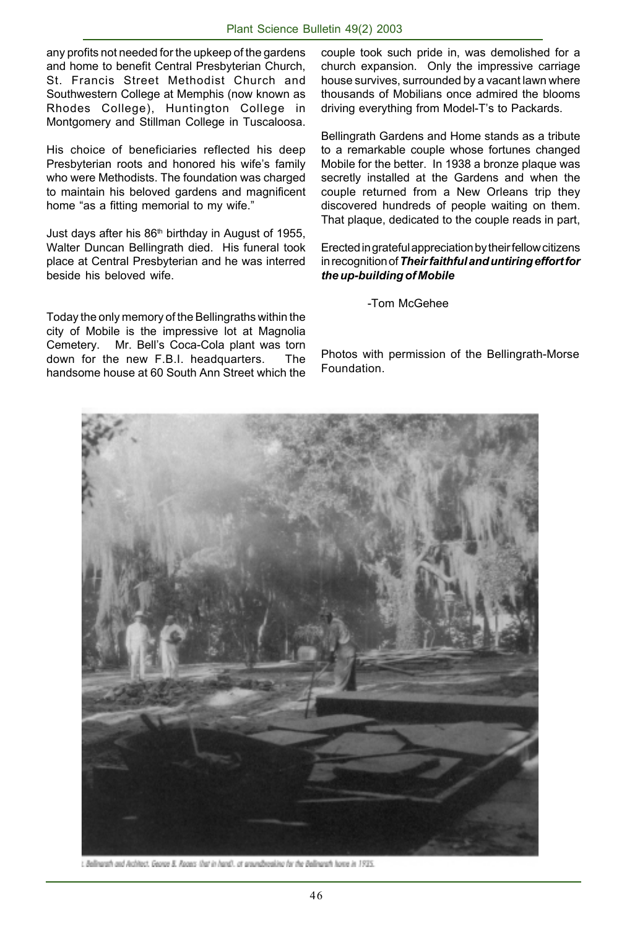any profits not needed for the upkeep of the gardens and home to benefit Central Presbyterian Church, St. Francis Street Methodist Church and Southwestern College at Memphis (now known as Rhodes College), Huntington College in Montgomery and Stillman College in Tuscaloosa.

His choice of beneficiaries reflected his deep Presbyterian roots and honored his wife's family who were Methodists. The foundation was charged to maintain his beloved gardens and magnificent home "as a fitting memorial to my wife."

Just days after his 86<sup>th</sup> birthday in August of 1955, Walter Duncan Bellingrath died. His funeral took place at Central Presbyterian and he was interred beside his beloved wife.

Today the only memory of the Bellingraths within the city of Mobile is the impressive lot at Magnolia Cemetery. Mr. Bell's Coca-Cola plant was torn down for the new F.B.I. headquarters. The handsome house at 60 South Ann Street which the

couple took such pride in, was demolished for a church expansion. Only the impressive carriage house survives, surrounded by a vacant lawn where thousands of Mobilians once admired the blooms driving everything from Model-T's to Packards.

Bellingrath Gardens and Home stands as a tribute to a remarkable couple whose fortunes changed Mobile for the better. In 1938 a bronze plaque was secretly installed at the Gardens and when the couple returned from a New Orleans trip they discovered hundreds of people waiting on them. That plaque, dedicated to the couple reads in part,

Erected in grateful appreciation by their fellow citizens in recognition of *Their faithful and untiring effort for the up-building of Mobile*

-Tom McGehee

Photos with permission of the Bellingrath-Morse Foundation.



i. Ballmargh and Architect. George R. Roows: that in hand), of arauncheopling for the Ballmargh home in 1935.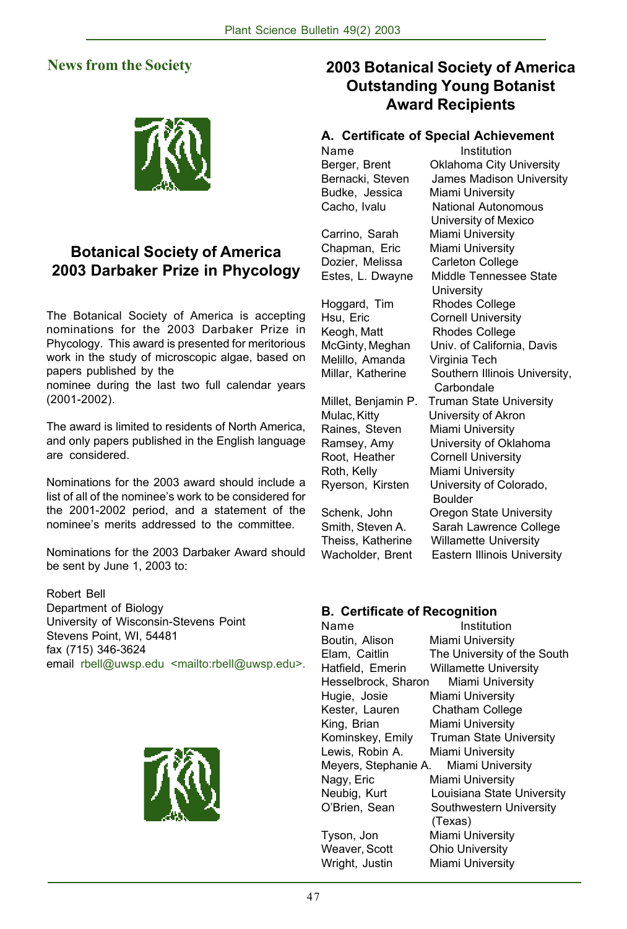## **News from the Society**



# **Botanical Society of America 2003 Darbaker Prize in Phycology**

The Botanical Society of America is accepting nominations for the 2003 Darbaker Prize in Phycology. This award is presented for meritorious work in the study of microscopic algae, based on papers published by the

nominee during the last two full calendar years (2001-2002).

The award is limited to residents of North America, and only papers published in the English language are considered.

Nominations for the 2003 award should include a list of all of the nominee's work to be considered for the 2001-2002 period, and a statement of the nominee's merits addressed to the committee.

Nominations for the 2003 Darbaker Award should be sent by June 1, 2003 to:

Robert Bell Department of Biology University of Wisconsin-Stevens Point Stevens Point, WI, 54481 fax (715) 346-3624 email rbell@uwsp.edu <mailto:rbell@uwsp.edu>.



## **2003 Botanical Society of America Outstanding Young Botanist Award Recipients**

## **A. Certificate of Special Achievement**

Budke, Jessica Miami University

Carrino, Sarah Miami University Chapman, Eric Miami University Dozier, Melissa Carleton College

Hoggard, Tim Rhodes College Hsu, Eric Cornell University Keogh, Matt Rhodes College Melillo, Amanda Virginia Tech

Mulac, Kitty University of Akron Raines, Steven Miami University Root, Heather Cornell University Roth, Kelly **Miami University** 

Theiss, Katherine Willamette University

Name Institution Berger, Brent Oklahoma City University Bernacki, Steven James Madison University Cacho, Ivalu National Autonomous University of Mexico Estes, L. Dwayne Middle Tennessee State **University** McGinty, Meghan Univ. of California, Davis Millar, Katherine Southern Illinois University, **Carbondale** Millet, Benjamin P. Truman State University Ramsey, Amy University of Oklahoma Ryerson, Kirsten University of Colorado, Boulder Schenk, John Oregon State University Smith, Steven A. Sarah Lawrence College

Wacholder, Brent Eastern Illinois University

## **B. Certificate of Recognition**

Name Institution Boutin, Alison Miami University Elam, Caitlin The University of the South Hatfield, Emerin Willamette University Hesselbrock, Sharon Miami University Hugie, Josie Miami University Kester, Lauren Chatham College King, Brian Miami University Kominskey, Emily Truman State University Lewis, Robin A. Miami University Meyers, Stephanie A. Miami University Nagy, Eric Miami University Neubig, Kurt Louisiana State University O'Brien, Sean Southwestern University (Texas) Tyson, Jon Miami University Weaver, Scott Ohio University Wright, Justin Miami University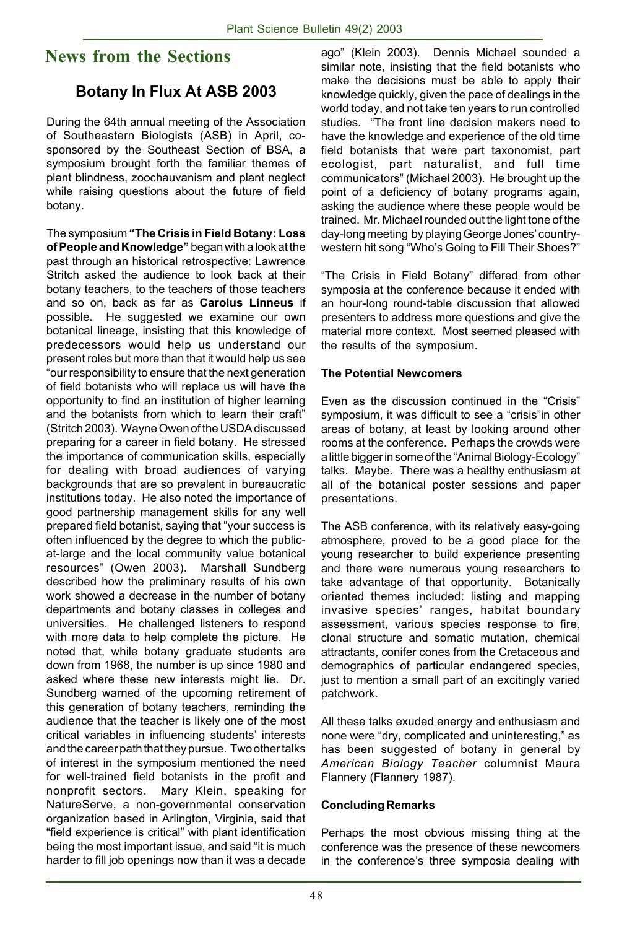# **News from the Sections**

## **Botany In Flux At ASB 2003**

During the 64th annual meeting of the Association of Southeastern Biologists (ASB) in April, cosponsored by the Southeast Section of BSA, a symposium brought forth the familiar themes of plant blindness, zoochauvanism and plant neglect while raising questions about the future of field botany.

The symposium **"The Crisis in Field Botany: Loss of People and Knowledge"** began with a look at the past through an historical retrospective: Lawrence Stritch asked the audience to look back at their botany teachers, to the teachers of those teachers and so on, back as far as **Carolus Linneus** if possible**.** He suggested we examine our own botanical lineage, insisting that this knowledge of predecessors would help us understand our present roles but more than that it would help us see "our responsibility to ensure that the next generation of field botanists who will replace us will have the opportunity to find an institution of higher learning and the botanists from which to learn their craft" (Stritch 2003). Wayne Owen of the USDA discussed preparing for a career in field botany. He stressed the importance of communication skills, especially for dealing with broad audiences of varying backgrounds that are so prevalent in bureaucratic institutions today. He also noted the importance of good partnership management skills for any well prepared field botanist, saying that "your success is often influenced by the degree to which the publicat-large and the local community value botanical resources" (Owen 2003). Marshall Sundberg described how the preliminary results of his own work showed a decrease in the number of botany departments and botany classes in colleges and universities. He challenged listeners to respond with more data to help complete the picture. He noted that, while botany graduate students are down from 1968, the number is up since 1980 and asked where these new interests might lie. Dr. Sundberg warned of the upcoming retirement of this generation of botany teachers, reminding the audience that the teacher is likely one of the most critical variables in influencing students' interests and the career path that they pursue. Two other talks of interest in the symposium mentioned the need for well-trained field botanists in the profit and nonprofit sectors. Mary Klein, speaking for NatureServe, a non-governmental conservation organization based in Arlington, Virginia, said that "field experience is critical" with plant identification being the most important issue, and said "it is much harder to fill job openings now than it was a decade

ago" (Klein 2003). Dennis Michael sounded a similar note, insisting that the field botanists who make the decisions must be able to apply their knowledge quickly, given the pace of dealings in the world today, and not take ten years to run controlled studies. "The front line decision makers need to have the knowledge and experience of the old time field botanists that were part taxonomist, part ecologist, part naturalist, and full time communicators" (Michael 2003). He brought up the point of a deficiency of botany programs again, asking the audience where these people would be trained. Mr. Michael rounded out the light tone of the day-long meeting by playing George Jones' countrywestern hit song "Who's Going to Fill Their Shoes?"

"The Crisis in Field Botany" differed from other symposia at the conference because it ended with an hour-long round-table discussion that allowed presenters to address more questions and give the material more context. Most seemed pleased with the results of the symposium.

#### **The Potential Newcomers**

Even as the discussion continued in the "Crisis" symposium, it was difficult to see a "crisis"in other areas of botany, at least by looking around other rooms at the conference. Perhaps the crowds were a little bigger in some of the "Animal Biology-Ecology" talks. Maybe. There was a healthy enthusiasm at all of the botanical poster sessions and paper presentations.

The ASB conference, with its relatively easy-going atmosphere, proved to be a good place for the young researcher to build experience presenting and there were numerous young researchers to take advantage of that opportunity. Botanically oriented themes included: listing and mapping invasive species' ranges, habitat boundary assessment, various species response to fire, clonal structure and somatic mutation, chemical attractants, conifer cones from the Cretaceous and demographics of particular endangered species, just to mention a small part of an excitingly varied patchwork.

All these talks exuded energy and enthusiasm and none were "dry, complicated and uninteresting," as has been suggested of botany in general by *American Biology Teacher* columnist Maura Flannery (Flannery 1987).

#### **Concluding Remarks**

Perhaps the most obvious missing thing at the conference was the presence of these newcomers in the conference's three symposia dealing with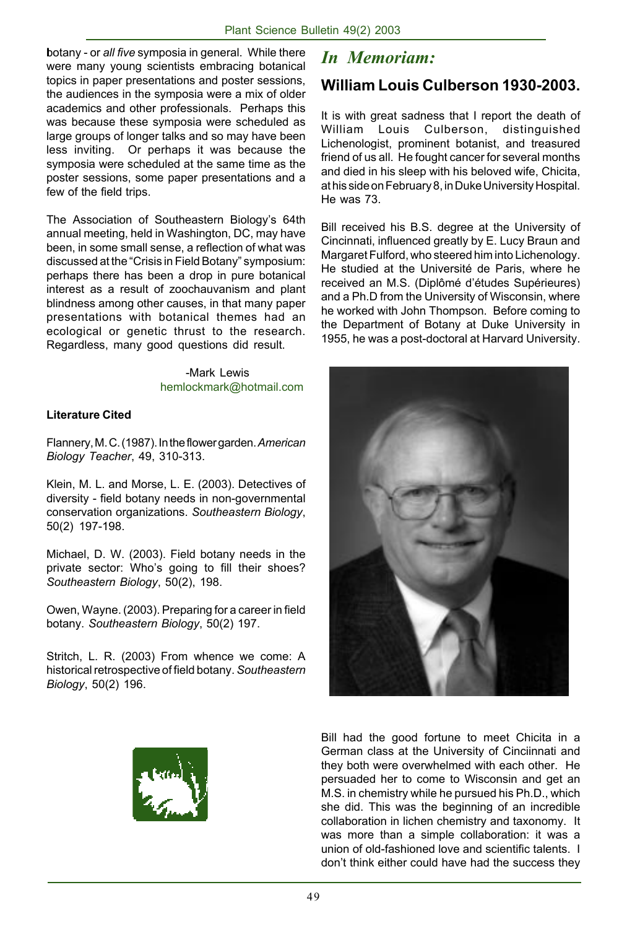**I**botany - or *all five* symposia in general. While there were many young scientists embracing botanical topics in paper presentations and poster sessions, the audiences in the symposia were a mix of older academics and other professionals. Perhaps this was because these symposia were scheduled as large groups of longer talks and so may have been less inviting. Or perhaps it was because the symposia were scheduled at the same time as the poster sessions, some paper presentations and a few of the field trips.

The Association of Southeastern Biology's 64th annual meeting, held in Washington, DC, may have been, in some small sense, a reflection of what was discussed at the "Crisis in Field Botany" symposium: perhaps there has been a drop in pure botanical interest as a result of zoochauvanism and plant blindness among other causes, in that many paper presentations with botanical themes had an ecological or genetic thrust to the research. Regardless, many good questions did result.

> -Mark Lewis hemlockmark@hotmail.com

## **Literature Cited**

Flannery, M. C. (1987). In the flower garden. *American Biology Teacher*, 49, 310-313.

Klein, M. L. and Morse, L. E. (2003). Detectives of diversity - field botany needs in non-governmental conservation organizations. *Southeastern Biology*, 50(2) 197-198.

Michael, D. W. (2003). Field botany needs in the private sector: Who's going to fill their shoes? *Southeastern Biology*, 50(2), 198.

Owen, Wayne. (2003). Preparing for a career in field botany. *Southeastern Biology*, 50(2) 197.

Stritch, L. R. (2003) From whence we come: A historical retrospective of field botany. *Southeastern Biology*, 50(2) 196.



# *In Memoriam:*

## **William Louis Culberson 1930-2003.**

It is with great sadness that I report the death of William Louis Culberson, distinguished Lichenologist, prominent botanist, and treasured friend of us all. He fought cancer for several months and died in his sleep with his beloved wife, Chicita, at his side on February 8, in Duke University Hospital. He was 73.

Bill received his B.S. degree at the University of Cincinnati, influenced greatly by E. Lucy Braun and Margaret Fulford, who steered him into Lichenology. He studied at the Université de Paris, where he received an M.S. (Diplômé d'études Supérieures) and a Ph.D from the University of Wisconsin, where he worked with John Thompson. Before coming to the Department of Botany at Duke University in 1955, he was a post-doctoral at Harvard University.



Bill had the good fortune to meet Chicita in a German class at the University of Cinciinnati and they both were overwhelmed with each other. He persuaded her to come to Wisconsin and get an M.S. in chemistry while he pursued his Ph.D., which she did. This was the beginning of an incredible collaboration in lichen chemistry and taxonomy. It was more than a simple collaboration: it was a union of old-fashioned love and scientific talents. I don't think either could have had the success they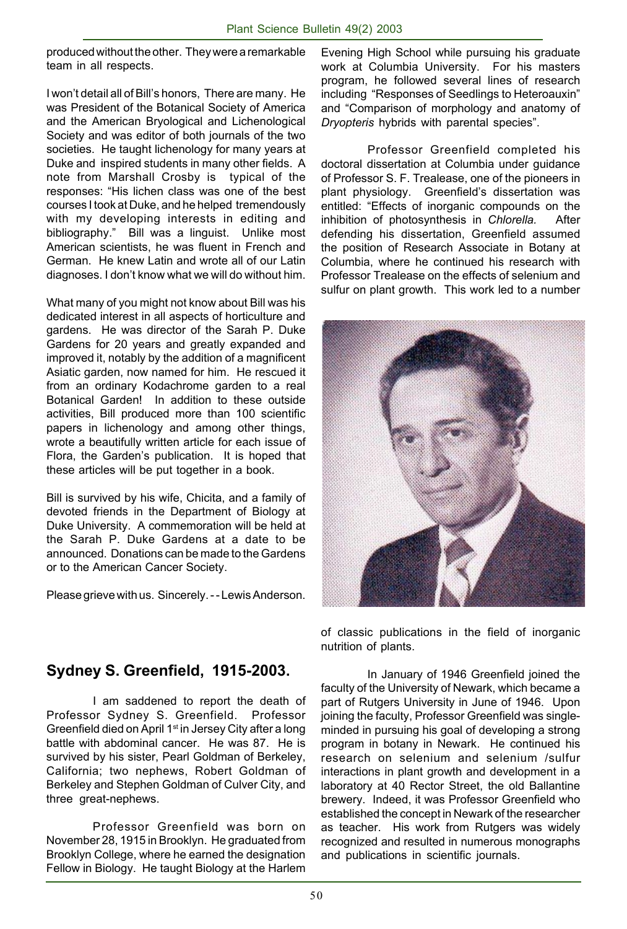produced without the other. They were a remarkable team in all respects.

I won't detail all of Bill's honors, There are many. He was President of the Botanical Society of America and the American Bryological and Lichenological Society and was editor of both journals of the two societies. He taught lichenology for many years at Duke and inspired students in many other fields. A note from Marshall Crosby is typical of the responses: "His lichen class was one of the best courses I took at Duke, and he helped tremendously with my developing interests in editing and bibliography." Bill was a linguist. Unlike most American scientists, he was fluent in French and German. He knew Latin and wrote all of our Latin diagnoses. I don't know what we will do without him.

What many of you might not know about Bill was his dedicated interest in all aspects of horticulture and gardens. He was director of the Sarah P. Duke Gardens for 20 years and greatly expanded and improved it, notably by the addition of a magnificent Asiatic garden, now named for him. He rescued it from an ordinary Kodachrome garden to a real Botanical Garden! In addition to these outside activities, Bill produced more than 100 scientific papers in lichenology and among other things, wrote a beautifully written article for each issue of Flora, the Garden's publication. It is hoped that these articles will be put together in a book.

Bill is survived by his wife, Chicita, and a family of devoted friends in the Department of Biology at Duke University. A commemoration will be held at the Sarah P. Duke Gardens at a date to be announced. Donations can be made to the Gardens or to the American Cancer Society.

Please grieve with us. Sincerely. - - Lewis Anderson.

Evening High School while pursuing his graduate work at Columbia University. For his masters program, he followed several lines of research including "Responses of Seedlings to Heteroauxin" and "Comparison of morphology and anatomy of *Dryopteris* hybrids with parental species".

Professor Greenfield completed his doctoral dissertation at Columbia under guidance of Professor S. F. Trealease, one of the pioneers in plant physiology. Greenfield's dissertation was entitled: "Effects of inorganic compounds on the inhibition of photosynthesis in *Chlorella.* After defending his dissertation, Greenfield assumed the position of Research Associate in Botany at Columbia, where he continued his research with Professor Trealease on the effects of selenium and sulfur on plant growth. This work led to a number



of classic publications in the field of inorganic nutrition of plants.

## **Sydney S. Greenfield, 1915-2003.**

I am saddened to report the death of Professor Sydney S. Greenfield. Professor Greenfield died on April 1<sup>st</sup> in Jersey City after a long battle with abdominal cancer. He was 87. He is survived by his sister, Pearl Goldman of Berkeley, California; two nephews, Robert Goldman of Berkeley and Stephen Goldman of Culver City, and three great-nephews.

Professor Greenfield was born on November 28, 1915 in Brooklyn. He graduated from Brooklyn College, where he earned the designation Fellow in Biology. He taught Biology at the Harlem

In January of 1946 Greenfield joined the faculty of the University of Newark, which became a part of Rutgers University in June of 1946. Upon joining the faculty, Professor Greenfield was singleminded in pursuing his goal of developing a strong program in botany in Newark. He continued his research on selenium and selenium /sulfur interactions in plant growth and development in a laboratory at 40 Rector Street, the old Ballantine brewery. Indeed, it was Professor Greenfield who established the concept in Newark of the researcher as teacher. His work from Rutgers was widely recognized and resulted in numerous monographs and publications in scientific journals.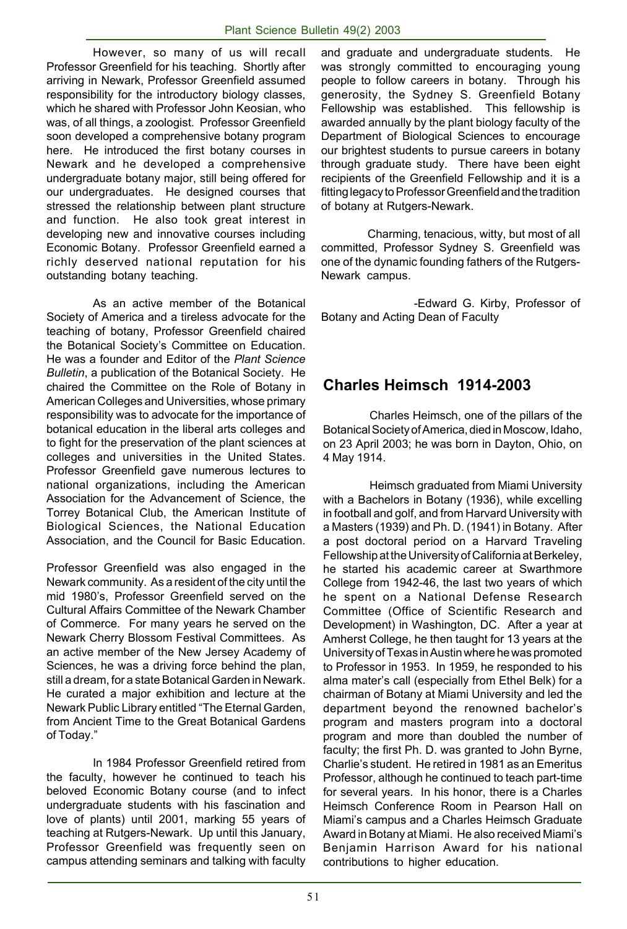However, so many of us will recall Professor Greenfield for his teaching. Shortly after arriving in Newark, Professor Greenfield assumed responsibility for the introductory biology classes, which he shared with Professor John Keosian, who was, of all things, a zoologist. Professor Greenfield soon developed a comprehensive botany program here. He introduced the first botany courses in Newark and he developed a comprehensive undergraduate botany major, still being offered for our undergraduates. He designed courses that stressed the relationship between plant structure and function. He also took great interest in developing new and innovative courses including Economic Botany. Professor Greenfield earned a richly deserved national reputation for his outstanding botany teaching.

As an active member of the Botanical Society of America and a tireless advocate for the teaching of botany, Professor Greenfield chaired the Botanical Society's Committee on Education. He was a founder and Editor of the *Plant Science Bulletin*, a publication of the Botanical Society. He chaired the Committee on the Role of Botany in American Colleges and Universities, whose primary responsibility was to advocate for the importance of botanical education in the liberal arts colleges and to fight for the preservation of the plant sciences at colleges and universities in the United States. Professor Greenfield gave numerous lectures to national organizations, including the American Association for the Advancement of Science, the Torrey Botanical Club, the American Institute of Biological Sciences, the National Education Association, and the Council for Basic Education.

Professor Greenfield was also engaged in the Newark community. As a resident of the city until the mid 1980's, Professor Greenfield served on the Cultural Affairs Committee of the Newark Chamber of Commerce. For many years he served on the Newark Cherry Blossom Festival Committees. As an active member of the New Jersey Academy of Sciences, he was a driving force behind the plan, still a dream, for a state Botanical Garden in Newark. He curated a major exhibition and lecture at the Newark Public Library entitled "The Eternal Garden, from Ancient Time to the Great Botanical Gardens of Today."

In 1984 Professor Greenfield retired from the faculty, however he continued to teach his beloved Economic Botany course (and to infect undergraduate students with his fascination and love of plants) until 2001, marking 55 years of teaching at Rutgers-Newark. Up until this January, Professor Greenfield was frequently seen on campus attending seminars and talking with faculty

and graduate and undergraduate students. He was strongly committed to encouraging young people to follow careers in botany. Through his generosity, the Sydney S. Greenfield Botany Fellowship was established. This fellowship is awarded annually by the plant biology faculty of the Department of Biological Sciences to encourage our brightest students to pursue careers in botany through graduate study. There have been eight recipients of the Greenfield Fellowship and it is a fitting legacy to Professor Greenfield and the tradition of botany at Rutgers-Newark.

Charming, tenacious, witty, but most of all committed, Professor Sydney S. Greenfield was one of the dynamic founding fathers of the Rutgers-Newark campus.

-Edward G. Kirby, Professor of Botany and Acting Dean of Faculty

## **Charles Heimsch 1914-2003**

Charles Heimsch, one of the pillars of the Botanical Society of America, died in Moscow, Idaho, on 23 April 2003; he was born in Dayton, Ohio, on 4 May 1914.

Heimsch graduated from Miami University with a Bachelors in Botany (1936), while excelling in football and golf, and from Harvard University with a Masters (1939) and Ph. D. (1941) in Botany. After a post doctoral period on a Harvard Traveling Fellowship at the University of California at Berkeley, he started his academic career at Swarthmore College from 1942-46, the last two years of which he spent on a National Defense Research Committee (Office of Scientific Research and Development) in Washington, DC. After a year at Amherst College, he then taught for 13 years at the University of Texas in Austin where he was promoted to Professor in 1953. In 1959, he responded to his alma mater's call (especially from Ethel Belk) for a chairman of Botany at Miami University and led the department beyond the renowned bachelor's program and masters program into a doctoral program and more than doubled the number of faculty; the first Ph. D. was granted to John Byrne, Charlie's student. He retired in 1981 as an Emeritus Professor, although he continued to teach part-time for several years. In his honor, there is a Charles Heimsch Conference Room in Pearson Hall on Miami's campus and a Charles Heimsch Graduate Award in Botany at Miami. He also received Miami's Benjamin Harrison Award for his national contributions to higher education.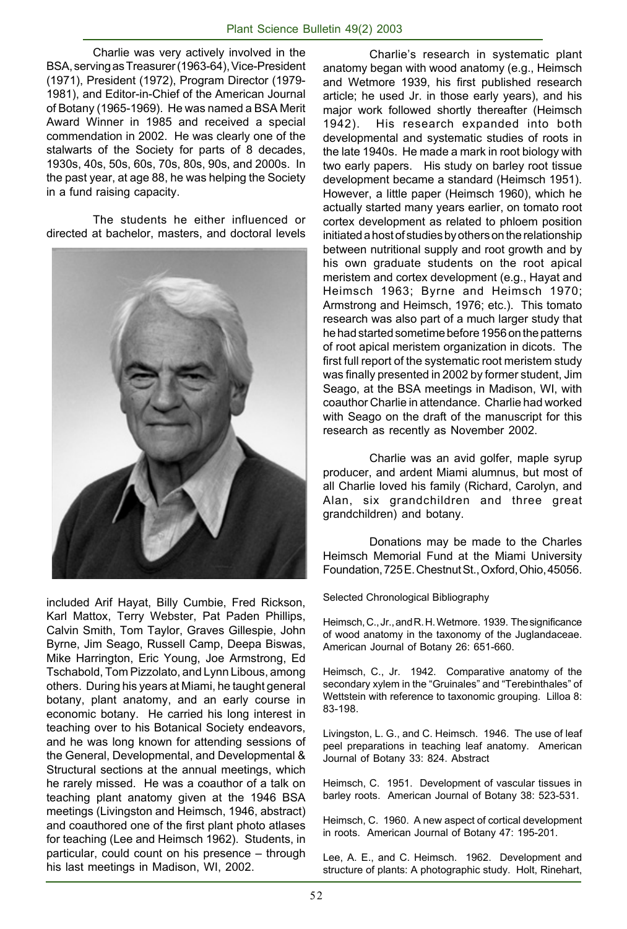Charlie was very actively involved in the BSA, serving as Treasurer (1963-64), Vice-President (1971), President (1972), Program Director (1979- 1981), and Editor-in-Chief of the American Journal of Botany (1965-1969). He was named a BSA Merit Award Winner in 1985 and received a special commendation in 2002. He was clearly one of the stalwarts of the Society for parts of 8 decades, 1930s, 40s, 50s, 60s, 70s, 80s, 90s, and 2000s. In the past year, at age 88, he was helping the Society in a fund raising capacity.

The students he either influenced or directed at bachelor, masters, and doctoral levels



included Arif Hayat, Billy Cumbie, Fred Rickson, Karl Mattox, Terry Webster, Pat Paden Phillips, Calvin Smith, Tom Taylor, Graves Gillespie, John Byrne, Jim Seago, Russell Camp, Deepa Biswas, Mike Harrington, Eric Young, Joe Armstrong, Ed Tschabold, Tom Pizzolato, and Lynn Libous, among others. During his years at Miami, he taught general botany, plant anatomy, and an early course in economic botany. He carried his long interest in teaching over to his Botanical Society endeavors, and he was long known for attending sessions of the General, Developmental, and Developmental & Structural sections at the annual meetings, which he rarely missed. He was a coauthor of a talk on teaching plant anatomy given at the 1946 BSA meetings (Livingston and Heimsch, 1946, abstract) and coauthored one of the first plant photo atlases for teaching (Lee and Heimsch 1962). Students, in particular, could count on his presence – through his last meetings in Madison, WI, 2002.

Charlie's research in systematic plant anatomy began with wood anatomy (e.g., Heimsch and Wetmore 1939, his first published research article; he used Jr. in those early years), and his major work followed shortly thereafter (Heimsch 1942). His research expanded into both developmental and systematic studies of roots in the late 1940s. He made a mark in root biology with two early papers. His study on barley root tissue development became a standard (Heimsch 1951). However, a little paper (Heimsch 1960), which he actually started many years earlier, on tomato root cortex development as related to phloem position initiated a host of studies by others on the relationship between nutritional supply and root growth and by his own graduate students on the root apical meristem and cortex development (e.g., Hayat and Heimsch 1963; Byrne and Heimsch 1970; Armstrong and Heimsch, 1976; etc.). This tomato research was also part of a much larger study that he had started sometime before 1956 on the patterns of root apical meristem organization in dicots. The first full report of the systematic root meristem study was finally presented in 2002 by former student, Jim Seago, at the BSA meetings in Madison, WI, with coauthor Charlie in attendance. Charlie had worked with Seago on the draft of the manuscript for this research as recently as November 2002.

Charlie was an avid golfer, maple syrup producer, and ardent Miami alumnus, but most of all Charlie loved his family (Richard, Carolyn, and Alan, six grandchildren and three great grandchildren) and botany.

Donations may be made to the Charles Heimsch Memorial Fund at the Miami University Foundation, 725 E. Chestnut St., Oxford, Ohio, 45056.

Selected Chronological Bibliography

Heimsch, C., Jr., and R. H. Wetmore. 1939. The significance of wood anatomy in the taxonomy of the Juglandaceae. American Journal of Botany 26: 651-660.

Heimsch, C., Jr. 1942. Comparative anatomy of the secondary xylem in the "Gruinales" and "Terebinthales" of Wettstein with reference to taxonomic grouping. Lilloa 8: 83-198.

Livingston, L. G., and C. Heimsch. 1946. The use of leaf peel preparations in teaching leaf anatomy. American Journal of Botany 33: 824. Abstract

Heimsch, C. 1951. Development of vascular tissues in barley roots. American Journal of Botany 38: 523-531.

Heimsch, C. 1960. A new aspect of cortical development in roots. American Journal of Botany 47: 195-201.

Lee, A. E., and C. Heimsch. 1962. Development and structure of plants: A photographic study. Holt, Rinehart,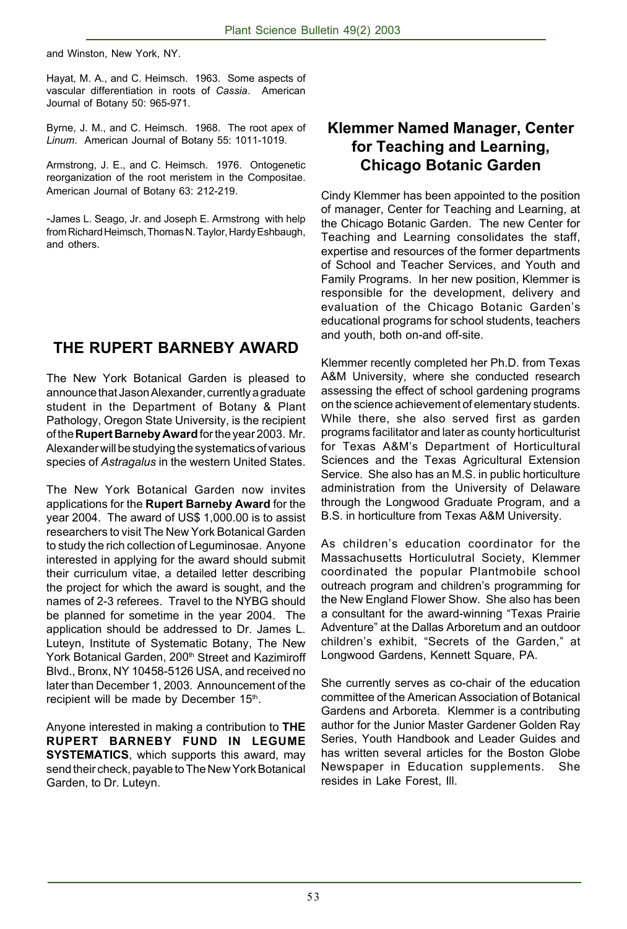and Winston, New York, NY.

Hayat, M. A., and C. Heimsch. 1963. Some aspects of vascular differentiation in roots of *Cassia*. American Journal of Botany 50: 965-971.

Byrne, J. M., and C. Heimsch. 1968. The root apex of *Linum*. American Journal of Botany 55: 1011-1019.

Armstrong, J. E., and C. Heimsch. 1976. Ontogenetic reorganization of the root meristem in the Compositae. American Journal of Botany 63: 212-219.

-James L. Seago, Jr. and Joseph E. Armstrong with help from Richard Heimsch, Thomas N. Taylor, Hardy Eshbaugh, and others.

# **THE RUPERT BARNEBY AWARD**

The New York Botanical Garden is pleased to announce that Jason Alexander, currently a graduate student in the Department of Botany & Plant Pathology, Oregon State University, is the recipient of the **Rupert Barneby Award** for the year 2003. Mr. Alexander will be studying the systematics of various species of *Astragalus* in the western United States.

The New York Botanical Garden now invites applications for the **Rupert Barneby Award** for the year 2004. The award of US\$ 1,000.00 is to assist researchers to visit The New York Botanical Garden to study the rich collection of Leguminosae. Anyone interested in applying for the award should submit their curriculum vitae, a detailed letter describing the project for which the award is sought, and the names of 2-3 referees. Travel to the NYBG should be planned for sometime in the year 2004. The application should be addressed to Dr. James L. Luteyn, Institute of Systematic Botany, The New York Botanical Garden, 200<sup>th</sup> Street and Kazimiroff Blvd., Bronx, NY 10458-5126 USA, and received no later than December 1, 2003. Announcement of the recipient will be made by December 15th.

Anyone interested in making a contribution to **THE RUPERT BARNEBY FUND IN LEGUME SYSTEMATICS**, which supports this award, may send their check, payable to The New York Botanical Garden, to Dr. Luteyn.

## **Klemmer Named Manager, Center for Teaching and Learning, Chicago Botanic Garden**

Cindy Klemmer has been appointed to the position of manager, Center for Teaching and Learning, at the Chicago Botanic Garden. The new Center for Teaching and Learning consolidates the staff, expertise and resources of the former departments of School and Teacher Services, and Youth and Family Programs. In her new position, Klemmer is responsible for the development, delivery and evaluation of the Chicago Botanic Garden's educational programs for school students, teachers and youth, both on-and off-site.

Klemmer recently completed her Ph.D. from Texas A&M University, where she conducted research assessing the effect of school gardening programs on the science achievement of elementary students. While there, she also served first as garden programs facilitator and later as county horticulturist for Texas A&M's Department of Horticultural Sciences and the Texas Agricultural Extension Service. She also has an M.S. in public horticulture administration from the University of Delaware through the Longwood Graduate Program, and a B.S. in horticulture from Texas A&M University.

As children's education coordinator for the Massachusetts Horticulutral Society, Klemmer coordinated the popular Plantmobile school outreach program and children's programming for the New England Flower Show. She also has been a consultant for the award-winning "Texas Prairie Adventure" at the Dallas Arboretum and an outdoor children's exhibit, "Secrets of the Garden," at Longwood Gardens, Kennett Square, PA.

She currently serves as co-chair of the education committee of the American Association of Botanical Gardens and Arboreta. Klemmer is a contributing author for the Junior Master Gardener Golden Ray Series, Youth Handbook and Leader Guides and has written several articles for the Boston Globe Newspaper in Education supplements. She resides in Lake Forest, Ill.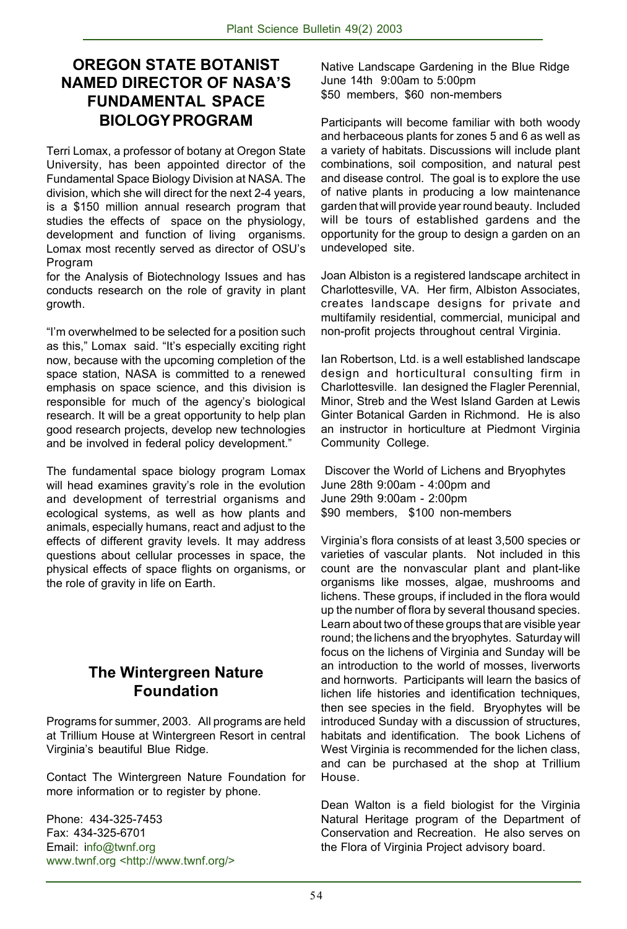## **OREGON STATE BOTANIST NAMED DIRECTOR OF NASA'S FUNDAMENTAL SPACE BIOLOGY PROGRAM**

Terri Lomax, a professor of botany at Oregon State University, has been appointed director of the Fundamental Space Biology Division at NASA. The division, which she will direct for the next 2-4 years, is a \$150 million annual research program that studies the effects of space on the physiology, development and function of living organisms. Lomax most recently served as director of OSU's Program

for the Analysis of Biotechnology Issues and has conducts research on the role of gravity in plant growth.

"I'm overwhelmed to be selected for a position such as this," Lomax said. "It's especially exciting right now, because with the upcoming completion of the space station, NASA is committed to a renewed emphasis on space science, and this division is responsible for much of the agency's biological research. It will be a great opportunity to help plan good research projects, develop new technologies and be involved in federal policy development."

The fundamental space biology program Lomax will head examines gravity's role in the evolution and development of terrestrial organisms and ecological systems, as well as how plants and animals, especially humans, react and adjust to the effects of different gravity levels. It may address questions about cellular processes in space, the physical effects of space flights on organisms, or the role of gravity in life on Earth.

# **The Wintergreen Nature Foundation**

Programs for summer, 2003. All programs are held at Trillium House at Wintergreen Resort in central Virginia's beautiful Blue Ridge.

Contact The Wintergreen Nature Foundation for more information or to register by phone.

Phone: 434-325-7453 Fax: 434-325-6701 Email: info@twnf.org www.twnf.org <http://www.twnf.org/> Native Landscape Gardening in the Blue Ridge June 14th 9:00am to 5:00pm \$50 members, \$60 non-members

Participants will become familiar with both woody and herbaceous plants for zones 5 and 6 as well as a variety of habitats. Discussions will include plant combinations, soil composition, and natural pest and disease control. The goal is to explore the use of native plants in producing a low maintenance garden that will provide year round beauty. Included will be tours of established gardens and the opportunity for the group to design a garden on an undeveloped site.

Joan Albiston is a registered landscape architect in Charlottesville, VA. Her firm, Albiston Associates, creates landscape designs for private and multifamily residential, commercial, municipal and non-profit projects throughout central Virginia.

Ian Robertson, Ltd. is a well established landscape design and horticultural consulting firm in Charlottesville. Ian designed the Flagler Perennial, Minor, Streb and the West Island Garden at Lewis Ginter Botanical Garden in Richmond. He is also an instructor in horticulture at Piedmont Virginia Community College.

 Discover the World of Lichens and Bryophytes June 28th 9:00am - 4:00pm and June 29th 9:00am - 2:00pm \$90 members, \$100 non-members

Virginia's flora consists of at least 3,500 species or varieties of vascular plants. Not included in this count are the nonvascular plant and plant-like organisms like mosses, algae, mushrooms and lichens. These groups, if included in the flora would up the number of flora by several thousand species. Learn about two of these groups that are visible year round; the lichens and the bryophytes. Saturday will focus on the lichens of Virginia and Sunday will be an introduction to the world of mosses, liverworts and hornworts. Participants will learn the basics of lichen life histories and identification techniques, then see species in the field. Bryophytes will be introduced Sunday with a discussion of structures, habitats and identification. The book Lichens of West Virginia is recommended for the lichen class, and can be purchased at the shop at Trillium House.

Dean Walton is a field biologist for the Virginia Natural Heritage program of the Department of Conservation and Recreation. He also serves on the Flora of Virginia Project advisory board.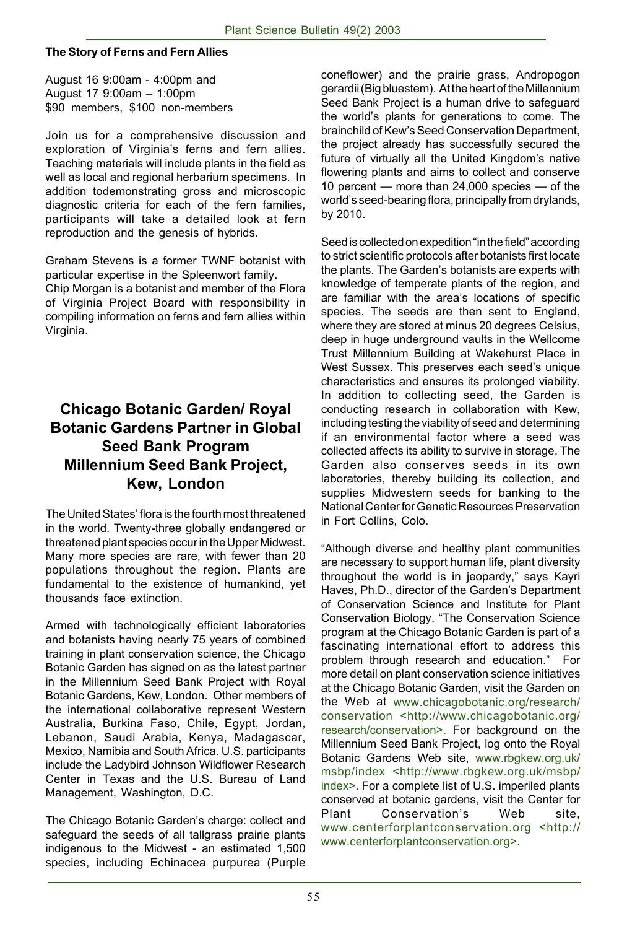#### **The Story of Ferns and Fern Allies**

August 16 9:00am - 4:00pm and August 17 9:00am – 1:00pm \$90 members, \$100 non-members

Join us for a comprehensive discussion and exploration of Virginia's ferns and fern allies. Teaching materials will include plants in the field as well as local and regional herbarium specimens. In addition todemonstrating gross and microscopic diagnostic criteria for each of the fern families, participants will take a detailed look at fern reproduction and the genesis of hybrids.

Graham Stevens is a former TWNF botanist with particular expertise in the Spleenwort family.

Chip Morgan is a botanist and member of the Flora of Virginia Project Board with responsibility in compiling information on ferns and fern allies within Virginia.

## **Chicago Botanic Garden/ Royal Botanic Gardens Partner in Global Seed Bank Program Millennium Seed Bank Project, Kew, London**

The United States' flora is the fourth most threatened in the world. Twenty-three globally endangered or threatened plant species occur in the Upper Midwest. Many more species are rare, with fewer than 20 populations throughout the region. Plants are fundamental to the existence of humankind, yet thousands face extinction.

Armed with technologically efficient laboratories and botanists having nearly 75 years of combined training in plant conservation science, the Chicago Botanic Garden has signed on as the latest partner in the Millennium Seed Bank Project with Royal Botanic Gardens, Kew, London. Other members of the international collaborative represent Western Australia, Burkina Faso, Chile, Egypt, Jordan, Lebanon, Saudi Arabia, Kenya, Madagascar, Mexico, Namibia and South Africa. U.S. participants include the Ladybird Johnson Wildflower Research Center in Texas and the U.S. Bureau of Land Management, Washington, D.C.

The Chicago Botanic Garden's charge: collect and safeguard the seeds of all tallgrass prairie plants indigenous to the Midwest - an estimated 1,500 species, including Echinacea purpurea (Purple coneflower) and the prairie grass, Andropogon gerardii (Big bluestem). At the heart of the Millennium Seed Bank Project is a human drive to safeguard the world's plants for generations to come. The brainchild of Kew's Seed Conservation Department, the project already has successfully secured the future of virtually all the United Kingdom's native flowering plants and aims to collect and conserve 10 percent — more than 24,000 species — of the world's seed-bearing flora, principally from drylands, by 2010.

Seed is collected on expedition "in the field" according to strict scientific protocols after botanists first locate the plants. The Garden's botanists are experts with knowledge of temperate plants of the region, and are familiar with the area's locations of specific species. The seeds are then sent to England, where they are stored at minus 20 degrees Celsius, deep in huge underground vaults in the Wellcome Trust Millennium Building at Wakehurst Place in West Sussex. This preserves each seed's unique characteristics and ensures its prolonged viability. In addition to collecting seed, the Garden is conducting research in collaboration with Kew, including testing the viability of seed and determining if an environmental factor where a seed was collected affects its ability to survive in storage. The Garden also conserves seeds in its own laboratories, thereby building its collection, and supplies Midwestern seeds for banking to the National Center for Genetic Resources Preservation in Fort Collins, Colo.

"Although diverse and healthy plant communities are necessary to support human life, plant diversity throughout the world is in jeopardy," says Kayri Haves, Ph.D., director of the Garden's Department of Conservation Science and Institute for Plant Conservation Biology. "The Conservation Science program at the Chicago Botanic Garden is part of a fascinating international effort to address this problem through research and education." For more detail on plant conservation science initiatives at the Chicago Botanic Garden, visit the Garden on the Web at www.chicagobotanic.org/research/ conservation <http://www.chicagobotanic.org/ research/conservation>. For background on the Millennium Seed Bank Project, log onto the Royal Botanic Gardens Web site, www.rbgkew.org.uk/ msbp/index <http://www.rbgkew.org.uk/msbp/ index>. For a complete list of U.S. imperiled plants conserved at botanic gardens, visit the Center for Plant Conservation's Web site, www.centerforplantconservation.org <http:// www.centerforplantconservation.org>.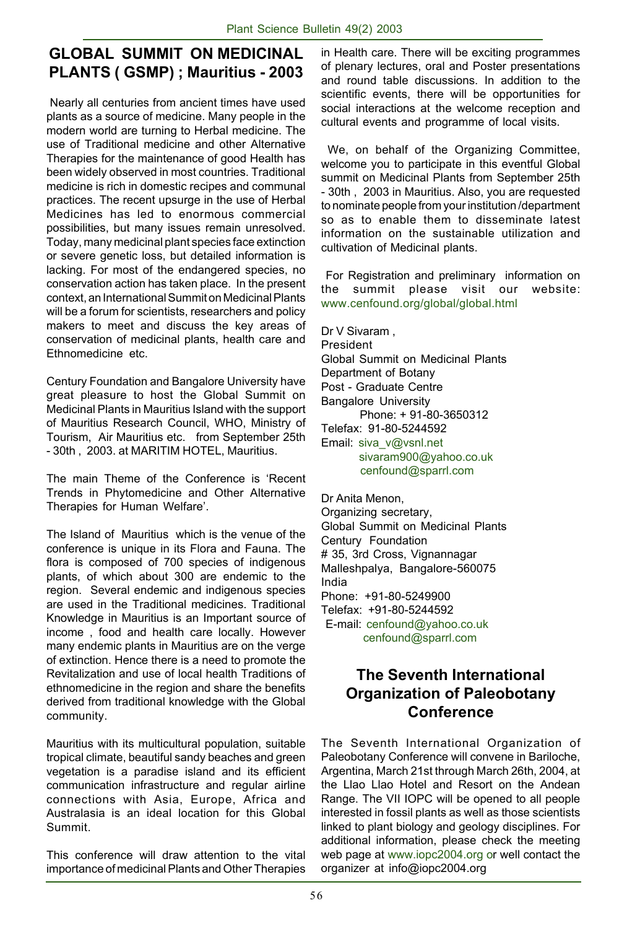# **GLOBAL SUMMIT ON MEDICINAL PLANTS ( GSMP) ; Mauritius - 2003**

 Nearly all centuries from ancient times have used plants as a source of medicine. Many people in the modern world are turning to Herbal medicine. The use of Traditional medicine and other Alternative Therapies for the maintenance of good Health has been widely observed in most countries. Traditional medicine is rich in domestic recipes and communal practices. The recent upsurge in the use of Herbal Medicines has led to enormous commercial possibilities, but many issues remain unresolved. Today, many medicinal plant species face extinction or severe genetic loss, but detailed information is lacking. For most of the endangered species, no conservation action has taken place. In the present context, an International Summit on Medicinal Plants will be a forum for scientists, researchers and policy makers to meet and discuss the key areas of conservation of medicinal plants, health care and Ethnomedicine etc.

Century Foundation and Bangalore University have great pleasure to host the Global Summit on Medicinal Plants in Mauritius Island with the support of Mauritius Research Council, WHO, Ministry of Tourism, Air Mauritius etc. from September 25th - 30th , 2003. at MARITIM HOTEL, Mauritius.

The main Theme of the Conference is 'Recent Trends in Phytomedicine and Other Alternative Therapies for Human Welfare'.

The Island of Mauritius which is the venue of the conference is unique in its Flora and Fauna. The flora is composed of 700 species of indigenous plants, of which about 300 are endemic to the region. Several endemic and indigenous species are used in the Traditional medicines. Traditional Knowledge in Mauritius is an Important source of income , food and health care locally. However many endemic plants in Mauritius are on the verge of extinction. Hence there is a need to promote the Revitalization and use of local health Traditions of ethnomedicine in the region and share the benefits derived from traditional knowledge with the Global community.

Mauritius with its multicultural population, suitable tropical climate, beautiful sandy beaches and green vegetation is a paradise island and its efficient communication infrastructure and regular airline connections with Asia, Europe, Africa and Australasia is an ideal location for this Global Summit.

This conference will draw attention to the vital importance of medicinal Plants and Other Therapies in Health care. There will be exciting programmes of plenary lectures, oral and Poster presentations and round table discussions. In addition to the scientific events, there will be opportunities for social interactions at the welcome reception and cultural events and programme of local visits.

We, on behalf of the Organizing Committee, welcome you to participate in this eventful Global summit on Medicinal Plants from September 25th - 30th , 2003 in Mauritius. Also, you are requested to nominate people from your institution /department so as to enable them to disseminate latest information on the sustainable utilization and cultivation of Medicinal plants.

 For Registration and preliminary information on the summit please visit our website: www.cenfound.org/global/global.html

Dr V Sivaram , President Global Summit on Medicinal Plants Department of Botany Post - Graduate Centre Bangalore University Phone: + 91-80-3650312 Telefax: 91-80-5244592 Email: siva\_v@vsnl.net sivaram900@yahoo.co.uk cenfound@sparrl.com

Dr Anita Menon, Organizing secretary, Global Summit on Medicinal Plants Century Foundation # 35, 3rd Cross, Vignannagar Malleshpalya, Bangalore-560075 India Phone: +91-80-5249900 Telefax: +91-80-5244592 E-mail: cenfound@yahoo.co.uk cenfound@sparrl.com

## **The Seventh International Organization of Paleobotany Conference**

The Seventh International Organization of Paleobotany Conference will convene in Bariloche, Argentina, March 21st through March 26th, 2004, at the Llao Llao Hotel and Resort on the Andean Range. The VII IOPC will be opened to all people interested in fossil plants as well as those scientists linked to plant biology and geology disciplines. For additional information, please check the meeting web page at www.iopc2004.org or well contact the organizer at info@iopc2004.org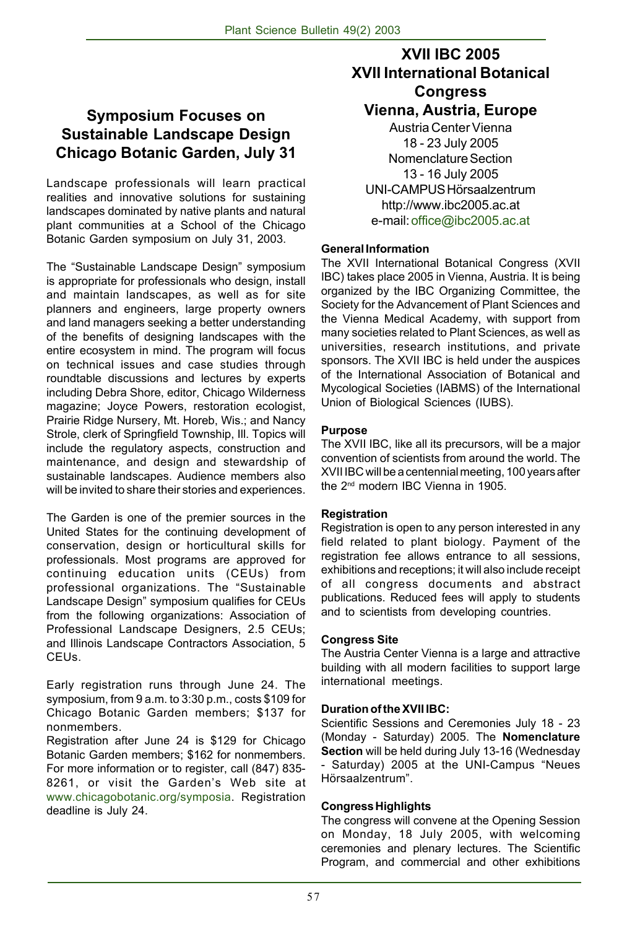# **Symposium Focuses on Sustainable Landscape Design Chicago Botanic Garden, July 31**

Landscape professionals will learn practical realities and innovative solutions for sustaining landscapes dominated by native plants and natural plant communities at a School of the Chicago Botanic Garden symposium on July 31, 2003.

The "Sustainable Landscape Design" symposium is appropriate for professionals who design, install and maintain landscapes, as well as for site planners and engineers, large property owners and land managers seeking a better understanding of the benefits of designing landscapes with the entire ecosystem in mind. The program will focus on technical issues and case studies through roundtable discussions and lectures by experts including Debra Shore, editor, Chicago Wilderness magazine; Joyce Powers, restoration ecologist, Prairie Ridge Nursery, Mt. Horeb, Wis.; and Nancy Strole, clerk of Springfield Township, Ill. Topics will include the regulatory aspects, construction and maintenance, and design and stewardship of sustainable landscapes. Audience members also will be invited to share their stories and experiences.

The Garden is one of the premier sources in the United States for the continuing development of conservation, design or horticultural skills for professionals. Most programs are approved for continuing education units (CEUs) from professional organizations. The "Sustainable Landscape Design" symposium qualifies for CEUs from the following organizations: Association of Professional Landscape Designers, 2.5 CEUs; and Illinois Landscape Contractors Association, 5 CEUs.

Early registration runs through June 24. The symposium, from 9 a.m. to 3:30 p.m., costs \$109 for Chicago Botanic Garden members; \$137 for nonmembers.

Registration after June 24 is \$129 for Chicago Botanic Garden members; \$162 for nonmembers. For more information or to register, call (847) 835- 8261, or visit the Garden's Web site at www.chicagobotanic.org/symposia. Registration deadline is July 24.

## **XVII IBC 2005 XVII International Botanical Congress Vienna, Austria, Europe**

Austria Center Vienna 18 - 23 July 2005 Nomenclature Section 13 - 16 July 2005 UNI-CAMPUS Hörsaalzentrum http://www.ibc2005.ac.at e-mail: office@ibc2005.ac.at

## **General Information**

The XVII International Botanical Congress (XVII IBC) takes place 2005 in Vienna, Austria. It is being organized by the IBC Organizing Committee, the Society for the Advancement of Plant Sciences and the Vienna Medical Academy, with support from many societies related to Plant Sciences, as well as universities, research institutions, and private sponsors. The XVII IBC is held under the auspices of the International Association of Botanical and Mycological Societies (IABMS) of the International Union of Biological Sciences (IUBS).

## **Purpose**

The XVII IBC, like all its precursors, will be a major convention of scientists from around the world. The XVII IBC will be a centennial meeting, 100 years after the 2<sup>nd</sup> modern IBC Vienna in 1905.

#### **Registration**

Registration is open to any person interested in any field related to plant biology. Payment of the registration fee allows entrance to all sessions, exhibitions and receptions; it will also include receipt of all congress documents and abstract publications. Reduced fees will apply to students and to scientists from developing countries.

#### **Congress Site**

The Austria Center Vienna is a large and attractive building with all modern facilities to support large international meetings.

#### **Duration of the XVII IBC:**

Scientific Sessions and Ceremonies July 18 - 23 (Monday - Saturday) 2005. The **Nomenclature Section** will be held during July 13-16 (Wednesday - Saturday) 2005 at the UNI-Campus "Neues Hörsaalzentrum".

#### **Congress Highlights**

The congress will convene at the Opening Session on Monday, 18 July 2005, with welcoming ceremonies and plenary lectures. The Scientific Program, and commercial and other exhibitions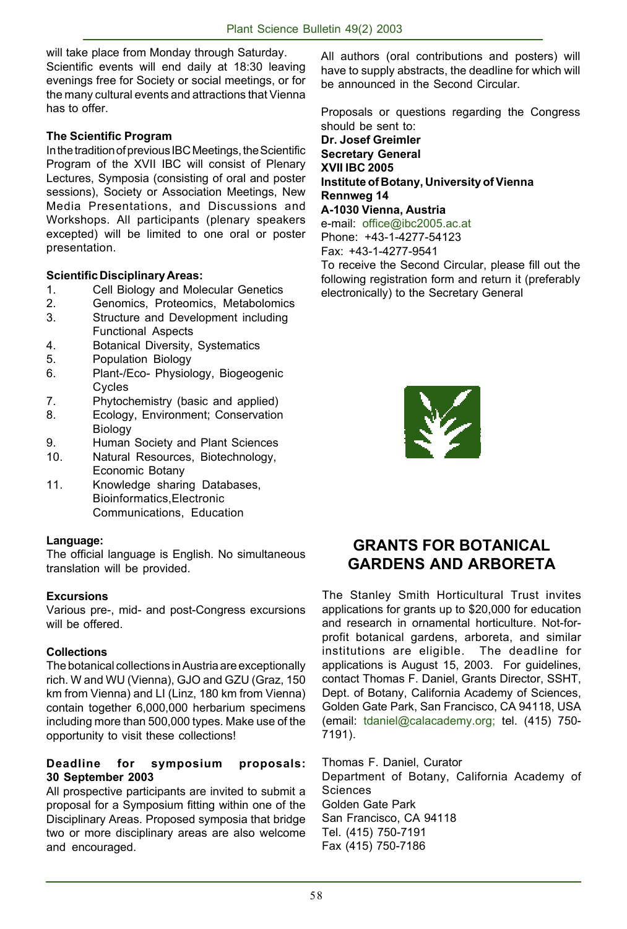will take place from Monday through Saturday. Scientific events will end daily at 18:30 leaving evenings free for Society or social meetings, or for the many cultural events and attractions that Vienna has to offer.

#### **The Scientific Program**

In the tradition of previous IBC Meetings, the Scientific Program of the XVII IBC will consist of Plenary Lectures, Symposia (consisting of oral and poster sessions), Society or Association Meetings, New Media Presentations, and Discussions and Workshops. All participants (plenary speakers excepted) will be limited to one oral or poster presentation.

## **Scientific Disciplinary Areas:**

- 1. Cell Biology and Molecular Genetics
- 2. Genomics, Proteomics, Metabolomics
- 3. Structure and Development including Functional Aspects
- 4. Botanical Diversity, Systematics
- 5. Population Biology
- 6. Plant-/Eco- Physiology, Biogeogenic Cycles
- 7. Phytochemistry (basic and applied)
- 8. Ecology, Environment; Conservation Biology
- 9. Human Society and Plant Sciences
- 10. Natural Resources, Biotechnology, Economic Botany
- 11. Knowledge sharing Databases, Bioinformatics,Electronic Communications, Education

#### **Language:**

The official language is English. No simultaneous translation will be provided.

#### **Excursions**

Various pre-, mid- and post-Congress excursions will be offered.

#### **Collections**

The botanical collections in Austria are exceptionally rich. W and WU (Vienna), GJO and GZU (Graz, 150 km from Vienna) and LI (Linz, 180 km from Vienna) contain together 6,000,000 herbarium specimens including more than 500,000 types. Make use of the opportunity to visit these collections!

## **Deadline for symposium proposals: 30 September 2003**

All prospective participants are invited to submit a proposal for a Symposium fitting within one of the Disciplinary Areas. Proposed symposia that bridge two or more disciplinary areas are also welcome and encouraged.

All authors (oral contributions and posters) will have to supply abstracts, the deadline for which will be announced in the Second Circular.

Proposals or questions regarding the Congress should be sent to:

**Dr. Josef Greimler Secretary General XVII IBC 2005 Institute of Botany, University of Vienna Rennweg 14 A-1030 Vienna, Austria**

e-mail: office@ibc2005.ac.at Phone: +43-1-4277-54123 Fax: +43-1-4277-9541

To receive the Second Circular, please fill out the following registration form and return it (preferably electronically) to the Secretary General



# **GRANTS FOR BOTANICAL GARDENS AND ARBORETA**

The Stanley Smith Horticultural Trust invites applications for grants up to \$20,000 for education and research in ornamental horticulture. Not-forprofit botanical gardens, arboreta, and similar institutions are eligible. The deadline for applications is August 15, 2003. For guidelines, contact Thomas F. Daniel, Grants Director, SSHT, Dept. of Botany, California Academy of Sciences, Golden Gate Park, San Francisco, CA 94118, USA (email: tdaniel@calacademy.org; tel. (415) 750- 7191).

Thomas F. Daniel, Curator Department of Botany, California Academy of **Sciences** Golden Gate Park San Francisco, CA 94118 Tel. (415) 750-7191 Fax (415) 750-7186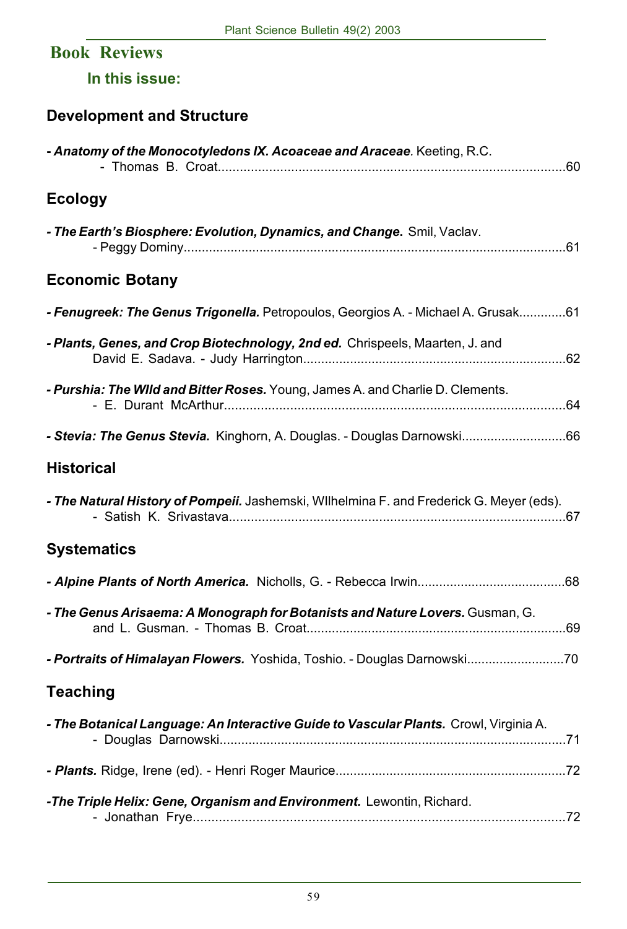| Plant Science Bulletin 49(2) 2003                                                        |
|------------------------------------------------------------------------------------------|
| <b>Book Reviews</b>                                                                      |
| In this issue:                                                                           |
|                                                                                          |
| <b>Development and Structure</b>                                                         |
| - Anatomy of the Monocotyledons IX. Acoaceae and Araceae. Keeting, R.C.                  |
| <b>Ecology</b>                                                                           |
| - The Earth's Biosphere: Evolution, Dynamics, and Change. Smil, Vaclav.                  |
| <b>Economic Botany</b>                                                                   |
| - Fenugreek: The Genus Trigonella. Petropoulos, Georgios A. - Michael A. Grusak61        |
| - Plants, Genes, and Crop Biotechnology, 2nd ed. Chrispeels, Maarten, J. and             |
| - Purshia: The Wild and Bitter Roses. Young, James A. and Charlie D. Clements.           |
| - Stevia: The Genus Stevia. Kinghorn, A. Douglas. - Douglas Darnowski66                  |
| <b>Historical</b>                                                                        |
| - The Natural History of Pompeii. Jashemski, Wilhelmina F. and Frederick G. Meyer (eds). |
| <b>Systematics</b>                                                                       |
|                                                                                          |
| - The Genus Arisaema: A Monograph for Botanists and Nature Lovers. Gusman, G.            |
|                                                                                          |
| <b>Teaching</b>                                                                          |
| - The Botanical Language: An Interactive Guide to Vascular Plants. Crowl, Virginia A.    |
|                                                                                          |
| -The Triple Helix: Gene, Organism and Environment. Lewontin, Richard.                    |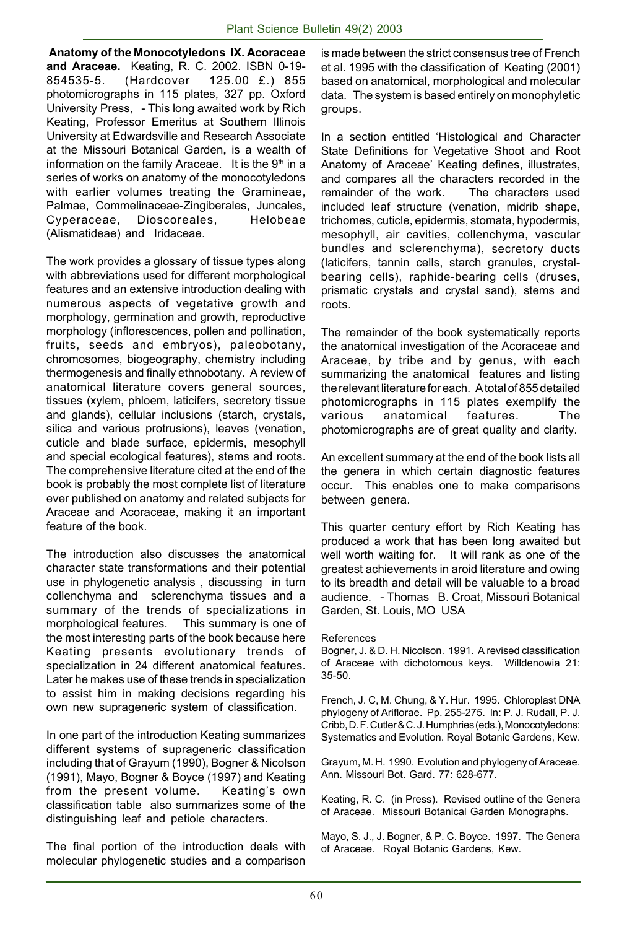**Anatomy of the Monocotyledons IX. Acoraceae and Araceae.** Keating, R. C. 2002. ISBN 0-19- 854535-5. (Hardcover 125.00 £.) 855 photomicrographs in 115 plates, 327 pp. Oxford University Press, - This long awaited work by Rich Keating, Professor Emeritus at Southern Illinois University at Edwardsville and Research Associate at the Missouri Botanical Garden**,** is a wealth of information on the family Araceae. It is the  $9<sup>th</sup>$  in a series of works on anatomy of the monocotyledons with earlier volumes treating the Gramineae, Palmae, Commelinaceae-Zingiberales, Juncales, Cyperaceae, Dioscoreales, Helobeae (Alismatideae) and Iridaceae.

The work provides a glossary of tissue types along with abbreviations used for different morphological features and an extensive introduction dealing with numerous aspects of vegetative growth and morphology, germination and growth, reproductive morphology (inflorescences, pollen and pollination, fruits, seeds and embryos), paleobotany, chromosomes, biogeography, chemistry including thermogenesis and finally ethnobotany. A review of anatomical literature covers general sources, tissues (xylem, phloem, laticifers, secretory tissue and glands), cellular inclusions (starch, crystals, silica and various protrusions), leaves (venation, cuticle and blade surface, epidermis, mesophyll and special ecological features), stems and roots. The comprehensive literature cited at the end of the book is probably the most complete list of literature ever published on anatomy and related subjects for Araceae and Acoraceae, making it an important feature of the book.

The introduction also discusses the anatomical character state transformations and their potential use in phylogenetic analysis , discussing in turn collenchyma and sclerenchyma tissues and a summary of the trends of specializations in morphological features. This summary is one of the most interesting parts of the book because here Keating presents evolutionary trends of specialization in 24 different anatomical features. Later he makes use of these trends in specialization to assist him in making decisions regarding his own new suprageneric system of classification.

In one part of the introduction Keating summarizes different systems of suprageneric classification including that of Grayum (1990), Bogner & Nicolson (1991), Mayo, Bogner & Boyce (1997) and Keating from the present volume. Keating's own classification table also summarizes some of the distinguishing leaf and petiole characters.

The final portion of the introduction deals with molecular phylogenetic studies and a comparison is made between the strict consensus tree of French et al. 1995 with the classification of Keating (2001) based on anatomical, morphological and molecular data. The system is based entirely on monophyletic groups.

In a section entitled 'Histological and Character State Definitions for Vegetative Shoot and Root Anatomy of Araceae' Keating defines, illustrates, and compares all the characters recorded in the remainder of the work. The characters used included leaf structure (venation, midrib shape, trichomes, cuticle, epidermis, stomata, hypodermis, mesophyll, air cavities, collenchyma, vascular bundles and sclerenchyma), secretory ducts (laticifers, tannin cells, starch granules, crystalbearing cells), raphide-bearing cells (druses, prismatic crystals and crystal sand), stems and roots.

The remainder of the book systematically reports the anatomical investigation of the Acoraceae and Araceae, by tribe and by genus, with each summarizing the anatomical features and listing the relevant literature for each. A total of 855 detailed photomicrographs in 115 plates exemplify the various anatomical features. The photomicrographs are of great quality and clarity.

An excellent summary at the end of the book lists all the genera in which certain diagnostic features occur. This enables one to make comparisons between genera.

This quarter century effort by Rich Keating has produced a work that has been long awaited but well worth waiting for. It will rank as one of the greatest achievements in aroid literature and owing to its breadth and detail will be valuable to a broad audience. - Thomas B. Croat, Missouri Botanical Garden, St. Louis, MO USA

#### References

Bogner, J. & D. H. Nicolson. 1991. A revised classification of Araceae with dichotomous keys. Willdenowia 21: 35-50.

French, J. C, M. Chung, & Y. Hur. 1995. Chloroplast DNA phylogeny of Ariflorae. Pp. 255-275. In: P. J. Rudall, P. J. Cribb, D. F. Cutler & C. J. Humphries (eds.), Monocotyledons: Systematics and Evolution. Royal Botanic Gardens, Kew.

Grayum, M. H. 1990. Evolution and phylogeny of Araceae. Ann. Missouri Bot. Gard. 77: 628-677.

Keating, R. C. (in Press). Revised outline of the Genera of Araceae. Missouri Botanical Garden Monographs.

Mayo, S. J., J. Bogner, & P. C. Boyce. 1997. The Genera of Araceae. Royal Botanic Gardens, Kew.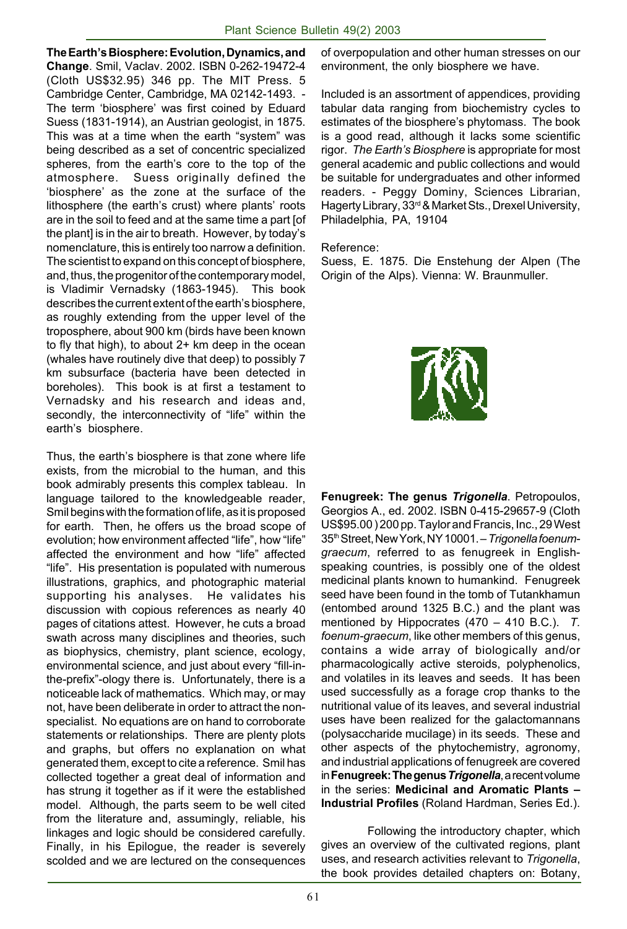**The Earth's Biosphere: Evolution, Dynamics, and Change**. Smil, Vaclav. 2002. ISBN 0-262-19472-4 (Cloth US\$32.95) 346 pp. The MIT Press. 5 Cambridge Center, Cambridge, MA 02142-1493. - The term 'biosphere' was first coined by Eduard Suess (1831-1914), an Austrian geologist, in 1875. This was at a time when the earth "system" was being described as a set of concentric specialized spheres, from the earth's core to the top of the atmosphere. Suess originally defined the 'biosphere' as the zone at the surface of the lithosphere (the earth's crust) where plants' roots are in the soil to feed and at the same time a part [of the plant] is in the air to breath. However, by today's nomenclature, this is entirely too narrow a definition. The scientist to expand on this concept of biosphere, and, thus, the progenitor of the contemporary model, is Vladimir Vernadsky (1863-1945). This book describes the current extent of the earth's biosphere, as roughly extending from the upper level of the troposphere, about 900 km (birds have been known to fly that high), to about 2+ km deep in the ocean (whales have routinely dive that deep) to possibly 7 km subsurface (bacteria have been detected in boreholes). This book is at first a testament to Vernadsky and his research and ideas and, secondly, the interconnectivity of "life" within the earth's biosphere.

Thus, the earth's biosphere is that zone where life exists, from the microbial to the human, and this book admirably presents this complex tableau. In language tailored to the knowledgeable reader, Smil begins with the formation of life, as it is proposed for earth. Then, he offers us the broad scope of evolution; how environment affected "life", how "life" affected the environment and how "life" affected "life". His presentation is populated with numerous illustrations, graphics, and photographic material supporting his analyses. He validates his discussion with copious references as nearly 40 pages of citations attest. However, he cuts a broad swath across many disciplines and theories, such as biophysics, chemistry, plant science, ecology, environmental science, and just about every "fill-inthe-prefix"-ology there is. Unfortunately, there is a noticeable lack of mathematics. Which may, or may not, have been deliberate in order to attract the nonspecialist. No equations are on hand to corroborate statements or relationships. There are plenty plots and graphs, but offers no explanation on what generated them, except to cite a reference. Smil has collected together a great deal of information and has strung it together as if it were the established model. Although, the parts seem to be well cited from the literature and, assumingly, reliable, his linkages and logic should be considered carefully. Finally, in his Epilogue, the reader is severely scolded and we are lectured on the consequences of overpopulation and other human stresses on our environment, the only biosphere we have.

Included is an assortment of appendices, providing tabular data ranging from biochemistry cycles to estimates of the biosphere's phytomass. The book is a good read, although it lacks some scientific rigor. *The Earth's Biosphere* is appropriate for most general academic and public collections and would be suitable for undergraduates and other informed readers. - Peggy Dominy, Sciences Librarian, Hagerty Library, 33<sup>rd</sup> & Market Sts., Drexel University, Philadelphia, PA, 19104

Reference:

Suess, E. 1875. Die Enstehung der Alpen (The Origin of the Alps). Vienna: W. Braunmuller.



**Fenugreek: The genus** *Trigonella*. Petropoulos, Georgios A., ed. 2002. ISBN 0-415-29657-9 (Cloth US\$95.00 ) 200 pp. Taylor and Francis, Inc., 29 West 35th Street, New York, NY 10001. – *Trigonella foenumgraecum*, referred to as fenugreek in Englishspeaking countries, is possibly one of the oldest medicinal plants known to humankind. Fenugreek seed have been found in the tomb of Tutankhamun (entombed around 1325 B.C.) and the plant was mentioned by Hippocrates (470 – 410 B.C.). *T. foenum-graecum*, like other members of this genus, contains a wide array of biologically and/or pharmacologically active steroids, polyphenolics, and volatiles in its leaves and seeds. It has been used successfully as a forage crop thanks to the nutritional value of its leaves, and several industrial uses have been realized for the galactomannans (polysaccharide mucilage) in its seeds. These and other aspects of the phytochemistry, agronomy, and industrial applications of fenugreek are covered in **Fenugreek: The genus** *Trigonella*, a recent volume in the series: **Medicinal and Aromatic Plants – Industrial Profiles** (Roland Hardman, Series Ed.).

Following the introductory chapter, which gives an overview of the cultivated regions, plant uses, and research activities relevant to *Trigonella*, the book provides detailed chapters on: Botany,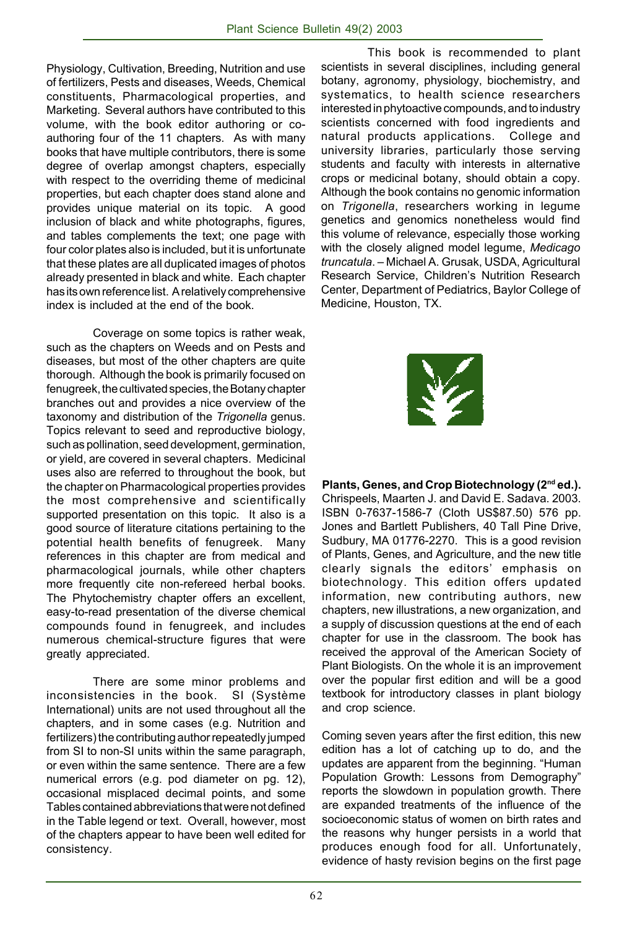Physiology, Cultivation, Breeding, Nutrition and use of fertilizers, Pests and diseases, Weeds, Chemical constituents, Pharmacological properties, and Marketing. Several authors have contributed to this volume, with the book editor authoring or coauthoring four of the 11 chapters. As with many books that have multiple contributors, there is some degree of overlap amongst chapters, especially with respect to the overriding theme of medicinal properties, but each chapter does stand alone and provides unique material on its topic. A good inclusion of black and white photographs, figures, and tables complements the text; one page with four color plates also is included, but it is unfortunate that these plates are all duplicated images of photos already presented in black and white. Each chapter has its own reference list. A relatively comprehensive index is included at the end of the book.

Coverage on some topics is rather weak, such as the chapters on Weeds and on Pests and diseases, but most of the other chapters are quite thorough. Although the book is primarily focused on fenugreek, the cultivated species, the Botany chapter branches out and provides a nice overview of the taxonomy and distribution of the *Trigonella* genus. Topics relevant to seed and reproductive biology, such as pollination, seed development, germination, or yield, are covered in several chapters. Medicinal uses also are referred to throughout the book, but the chapter on Pharmacological properties provides the most comprehensive and scientifically supported presentation on this topic. It also is a good source of literature citations pertaining to the potential health benefits of fenugreek. Many references in this chapter are from medical and pharmacological journals, while other chapters more frequently cite non-refereed herbal books. The Phytochemistry chapter offers an excellent, easy-to-read presentation of the diverse chemical compounds found in fenugreek, and includes numerous chemical-structure figures that were greatly appreciated.

There are some minor problems and inconsistencies in the book. SI (Système International) units are not used throughout all the chapters, and in some cases (e.g. Nutrition and fertilizers) the contributing author repeatedly jumped from SI to non-SI units within the same paragraph, or even within the same sentence. There are a few numerical errors (e.g. pod diameter on pg. 12), occasional misplaced decimal points, and some Tables contained abbreviations that were not defined in the Table legend or text. Overall, however, most of the chapters appear to have been well edited for consistency.

This book is recommended to plant scientists in several disciplines, including general botany, agronomy, physiology, biochemistry, and systematics, to health science researchers interested in phytoactive compounds, and to industry scientists concerned with food ingredients and natural products applications. College and university libraries, particularly those serving students and faculty with interests in alternative crops or medicinal botany, should obtain a copy. Although the book contains no genomic information on *Trigonella*, researchers working in legume genetics and genomics nonetheless would find this volume of relevance, especially those working with the closely aligned model legume, *Medicago truncatula*. – Michael A. Grusak, USDA, Agricultural Research Service, Children's Nutrition Research Center, Department of Pediatrics, Baylor College of Medicine, Houston, TX.



**Plants, Genes, and Crop Biotechnology (2nd ed.).** Chrispeels, Maarten J. and David E. Sadava. 2003. ISBN 0-7637-1586-7 (Cloth US\$87.50) 576 pp. Jones and Bartlett Publishers, 40 Tall Pine Drive, Sudbury, MA 01776-2270. This is a good revision of Plants, Genes, and Agriculture, and the new title clearly signals the editors' emphasis on biotechnology. This edition offers updated information, new contributing authors, new chapters, new illustrations, a new organization, and a supply of discussion questions at the end of each chapter for use in the classroom. The book has received the approval of the American Society of Plant Biologists. On the whole it is an improvement over the popular first edition and will be a good textbook for introductory classes in plant biology and crop science.

Coming seven years after the first edition, this new edition has a lot of catching up to do, and the updates are apparent from the beginning. "Human Population Growth: Lessons from Demography" reports the slowdown in population growth. There are expanded treatments of the influence of the socioeconomic status of women on birth rates and the reasons why hunger persists in a world that produces enough food for all. Unfortunately, evidence of hasty revision begins on the first page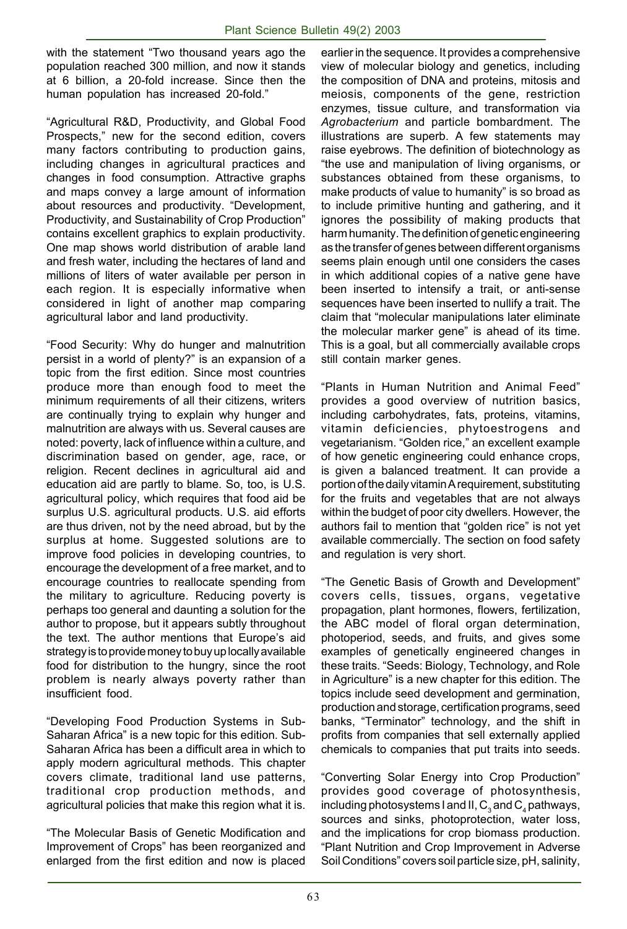with the statement "Two thousand years ago the population reached 300 million, and now it stands at 6 billion, a 20-fold increase. Since then the human population has increased 20-fold."

"Agricultural R&D, Productivity, and Global Food Prospects," new for the second edition, covers many factors contributing to production gains, including changes in agricultural practices and changes in food consumption. Attractive graphs and maps convey a large amount of information about resources and productivity. "Development, Productivity, and Sustainability of Crop Production" contains excellent graphics to explain productivity. One map shows world distribution of arable land and fresh water, including the hectares of land and millions of liters of water available per person in each region. It is especially informative when considered in light of another map comparing agricultural labor and land productivity.

"Food Security: Why do hunger and malnutrition persist in a world of plenty?" is an expansion of a topic from the first edition. Since most countries produce more than enough food to meet the minimum requirements of all their citizens, writers are continually trying to explain why hunger and malnutrition are always with us. Several causes are noted: poverty, lack of influence within a culture, and discrimination based on gender, age, race, or religion. Recent declines in agricultural aid and education aid are partly to blame. So, too, is U.S. agricultural policy, which requires that food aid be surplus U.S. agricultural products. U.S. aid efforts are thus driven, not by the need abroad, but by the surplus at home. Suggested solutions are to improve food policies in developing countries, to encourage the development of a free market, and to encourage countries to reallocate spending from the military to agriculture. Reducing poverty is perhaps too general and daunting a solution for the author to propose, but it appears subtly throughout the text. The author mentions that Europe's aid strategy is to provide money to buy up locally available food for distribution to the hungry, since the root problem is nearly always poverty rather than insufficient food.

"Developing Food Production Systems in Sub-Saharan Africa" is a new topic for this edition. Sub-Saharan Africa has been a difficult area in which to apply modern agricultural methods. This chapter covers climate, traditional land use patterns, traditional crop production methods, and agricultural policies that make this region what it is.

"The Molecular Basis of Genetic Modification and Improvement of Crops" has been reorganized and enlarged from the first edition and now is placed earlier in the sequence. It provides a comprehensive view of molecular biology and genetics, including the composition of DNA and proteins, mitosis and meiosis, components of the gene, restriction enzymes, tissue culture, and transformation via *Agrobacterium* and particle bombardment. The illustrations are superb. A few statements may raise eyebrows. The definition of biotechnology as "the use and manipulation of living organisms, or substances obtained from these organisms, to make products of value to humanity" is so broad as to include primitive hunting and gathering, and it ignores the possibility of making products that harm humanity. The definition of genetic engineering as the transfer of genes between different organisms seems plain enough until one considers the cases in which additional copies of a native gene have been inserted to intensify a trait, or anti-sense sequences have been inserted to nullify a trait. The claim that "molecular manipulations later eliminate the molecular marker gene" is ahead of its time. This is a goal, but all commercially available crops still contain marker genes.

"Plants in Human Nutrition and Animal Feed" provides a good overview of nutrition basics, including carbohydrates, fats, proteins, vitamins, vitamin deficiencies, phytoestrogens and vegetarianism. "Golden rice," an excellent example of how genetic engineering could enhance crops, is given a balanced treatment. It can provide a portion of the daily vitamin A requirement, substituting for the fruits and vegetables that are not always within the budget of poor city dwellers. However, the authors fail to mention that "golden rice" is not yet available commercially. The section on food safety and regulation is very short.

"The Genetic Basis of Growth and Development" covers cells, tissues, organs, vegetative propagation, plant hormones, flowers, fertilization, the ABC model of floral organ determination, photoperiod, seeds, and fruits, and gives some examples of genetically engineered changes in these traits. "Seeds: Biology, Technology, and Role in Agriculture" is a new chapter for this edition. The topics include seed development and germination, production and storage, certification programs, seed banks, "Terminator" technology, and the shift in profits from companies that sell externally applied chemicals to companies that put traits into seeds.

"Converting Solar Energy into Crop Production" provides good coverage of photosynthesis, including photosystems I and II,  $\textsf{C}_\textsf{3}$  and  $\textsf{C}_\textsf{4}$  pathways, sources and sinks, photoprotection, water loss, and the implications for crop biomass production. "Plant Nutrition and Crop Improvement in Adverse Soil Conditions" covers soil particle size, pH, salinity,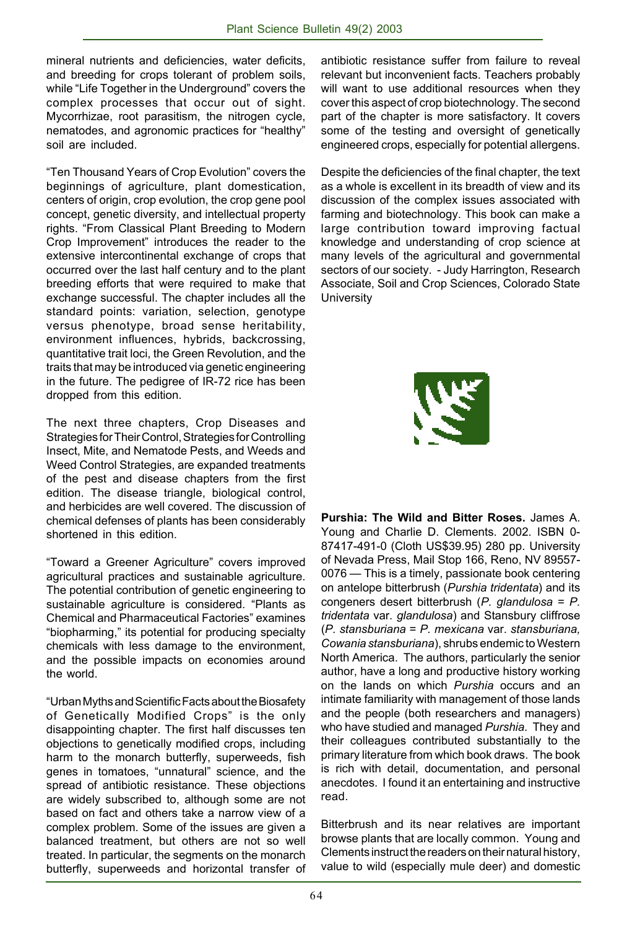mineral nutrients and deficiencies, water deficits, and breeding for crops tolerant of problem soils, while "Life Together in the Underground" covers the complex processes that occur out of sight. Mycorrhizae, root parasitism, the nitrogen cycle, nematodes, and agronomic practices for "healthy" soil are included.

"Ten Thousand Years of Crop Evolution" covers the beginnings of agriculture, plant domestication, centers of origin, crop evolution, the crop gene pool concept, genetic diversity, and intellectual property rights. "From Classical Plant Breeding to Modern Crop Improvement" introduces the reader to the extensive intercontinental exchange of crops that occurred over the last half century and to the plant breeding efforts that were required to make that exchange successful. The chapter includes all the standard points: variation, selection, genotype versus phenotype, broad sense heritability, environment influences, hybrids, backcrossing, quantitative trait loci, the Green Revolution, and the traits that may be introduced via genetic engineering in the future. The pedigree of IR-72 rice has been dropped from this edition.

The next three chapters, Crop Diseases and Strategies for Their Control, Strategies for Controlling Insect, Mite, and Nematode Pests, and Weeds and Weed Control Strategies, are expanded treatments of the pest and disease chapters from the first edition. The disease triangle, biological control, and herbicides are well covered. The discussion of chemical defenses of plants has been considerably shortened in this edition.

"Toward a Greener Agriculture" covers improved agricultural practices and sustainable agriculture. The potential contribution of genetic engineering to sustainable agriculture is considered. "Plants as Chemical and Pharmaceutical Factories" examines "biopharming," its potential for producing specialty chemicals with less damage to the environment, and the possible impacts on economies around the world.

"Urban Myths and Scientific Facts about the Biosafety of Genetically Modified Crops" is the only disappointing chapter. The first half discusses ten objections to genetically modified crops, including harm to the monarch butterfly, superweeds, fish genes in tomatoes, "unnatural" science, and the spread of antibiotic resistance. These objections are widely subscribed to, although some are not based on fact and others take a narrow view of a complex problem. Some of the issues are given a balanced treatment, but others are not so well treated. In particular, the segments on the monarch butterfly, superweeds and horizontal transfer of

antibiotic resistance suffer from failure to reveal relevant but inconvenient facts. Teachers probably will want to use additional resources when they cover this aspect of crop biotechnology. The second part of the chapter is more satisfactory. It covers some of the testing and oversight of genetically engineered crops, especially for potential allergens.

Despite the deficiencies of the final chapter, the text as a whole is excellent in its breadth of view and its discussion of the complex issues associated with farming and biotechnology. This book can make a large contribution toward improving factual knowledge and understanding of crop science at many levels of the agricultural and governmental sectors of our society. - Judy Harrington, Research Associate, Soil and Crop Sciences, Colorado State **University** 

**Purshia: The Wild and Bitter Roses.** James A. Young and Charlie D. Clements. 2002. ISBN 0- 87417-491-0 (Cloth US\$39.95) 280 pp. University of Nevada Press, Mail Stop 166, Reno, NV 89557- 0076 — This is a timely, passionate book centering on antelope bitterbrush (*Purshia tridentata*) and its congeners desert bitterbrush (*P. glandulosa* = *P. tridentata* var. *glandulosa*) and Stansbury cliffrose (*P. stansburiana* = *P. mexicana* var. *stansburiana, Cowania stansburiana*), shrubs endemic to Western North America. The authors, particularly the senior author, have a long and productive history working on the lands on which *Purshia* occurs and an intimate familiarity with management of those lands and the people (both researchers and managers) who have studied and managed *Purshia*. They and their colleagues contributed substantially to the primary literature from which book draws. The book is rich with detail, documentation, and personal anecdotes. I found it an entertaining and instructive read.

Bitterbrush and its near relatives are important browse plants that are locally common. Young and Clements instruct the readers on their natural history, value to wild (especially mule deer) and domestic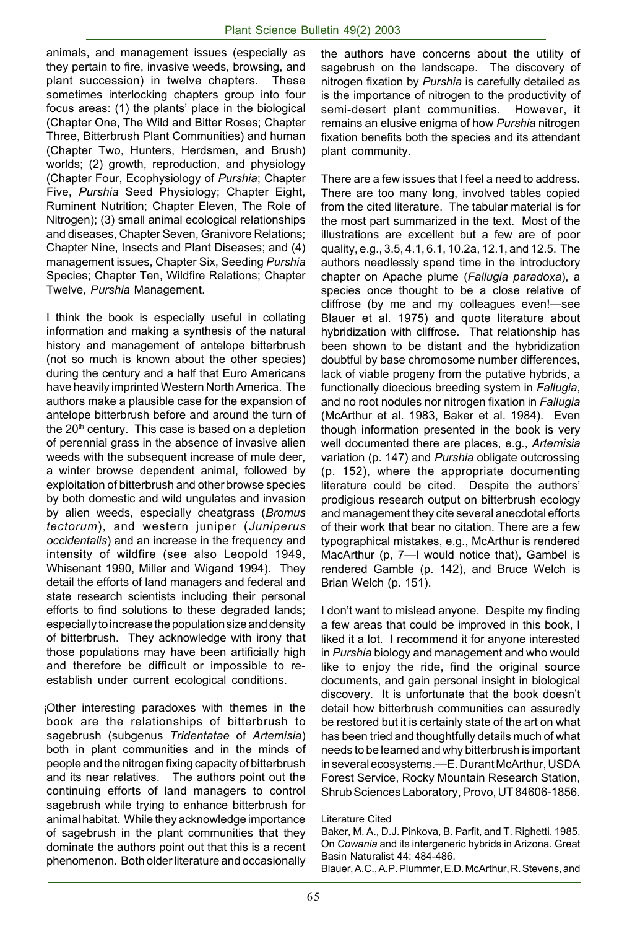animals, and management issues (especially as they pertain to fire, invasive weeds, browsing, and plant succession) in twelve chapters. These sometimes interlocking chapters group into four focus areas: (1) the plants' place in the biological (Chapter One, The Wild and Bitter Roses; Chapter Three, Bitterbrush Plant Communities) and human (Chapter Two, Hunters, Herdsmen, and Brush) worlds; (2) growth, reproduction, and physiology (Chapter Four, Ecophysiology of *Purshia*; Chapter Five, *Purshia* Seed Physiology; Chapter Eight, Ruminent Nutrition; Chapter Eleven, The Role of Nitrogen); (3) small animal ecological relationships and diseases, Chapter Seven, Granivore Relations; Chapter Nine, Insects and Plant Diseases; and (4) management issues, Chapter Six, Seeding *Purshia* Species; Chapter Ten, Wildfire Relations; Chapter Twelve, *Purshia* Management.

I think the book is especially useful in collating information and making a synthesis of the natural history and management of antelope bitterbrush (not so much is known about the other species) during the century and a half that Euro Americans have heavily imprinted Western North America. The authors make a plausible case for the expansion of antelope bitterbrush before and around the turn of the 20<sup>th</sup> century. This case is based on a depletion of perennial grass in the absence of invasive alien weeds with the subsequent increase of mule deer, a winter browse dependent animal, followed by exploitation of bitterbrush and other browse species by both domestic and wild ungulates and invasion by alien weeds, especially cheatgrass (*Bromus tectorum*), and western juniper (*Juniperus occidentalis*) and an increase in the frequency and intensity of wildfire (see also Leopold 1949, Whisenant 1990, Miller and Wigand 1994). They detail the efforts of land managers and federal and state research scientists including their personal efforts to find solutions to these degraded lands; especially to increase the population size and density of bitterbrush. They acknowledge with irony that those populations may have been artificially high and therefore be difficult or impossible to reestablish under current ecological conditions.

i Other interesting paradoxes with themes in the book are the relationships of bitterbrush to sagebrush (subgenus *Tridentatae* of *Artemisia*) both in plant communities and in the minds of people and the nitrogen fixing capacity of bitterbrush and its near relatives. The authors point out the continuing efforts of land managers to control sagebrush while trying to enhance bitterbrush for animal habitat. While they acknowledge importance of sagebrush in the plant communities that they dominate the authors point out that this is a recent phenomenon. Both older literature and occasionally

the authors have concerns about the utility of sagebrush on the landscape. The discovery of nitrogen fixation by *Purshia* is carefully detailed as is the importance of nitrogen to the productivity of semi-desert plant communities. However, it remains an elusive enigma of how *Purshia* nitrogen fixation benefits both the species and its attendant plant community.

There are a few issues that I feel a need to address. There are too many long, involved tables copied from the cited literature. The tabular material is for the most part summarized in the text. Most of the illustrations are excellent but a few are of poor quality, e.g., 3.5, 4.1, 6.1, 10.2a, 12.1, and 12.5. The authors needlessly spend time in the introductory chapter on Apache plume (*Fallugia paradoxa*), a species once thought to be a close relative of cliffrose (by me and my colleagues even!—see Blauer et al. 1975) and quote literature about hybridization with cliffrose. That relationship has been shown to be distant and the hybridization doubtful by base chromosome number differences, lack of viable progeny from the putative hybrids, a functionally dioecious breeding system in *Fallugia*, and no root nodules nor nitrogen fixation in *Fallugia* (McArthur et al. 1983, Baker et al. 1984). Even though information presented in the book is very well documented there are places, e.g., *Artemisia* variation (p. 147) and *Purshia* obligate outcrossing (p. 152), where the appropriate documenting literature could be cited. Despite the authors' prodigious research output on bitterbrush ecology and management they cite several anecdotal efforts of their work that bear no citation. There are a few typographical mistakes, e.g., McArthur is rendered MacArthur (p, 7—I would notice that), Gambel is rendered Gamble (p. 142), and Bruce Welch is Brian Welch (p. 151).

I don't want to mislead anyone. Despite my finding a few areas that could be improved in this book, I liked it a lot. I recommend it for anyone interested in *Purshia* biology and management and who would like to enjoy the ride, find the original source documents, and gain personal insight in biological discovery. It is unfortunate that the book doesn't detail how bitterbrush communities can assuredly be restored but it is certainly state of the art on what has been tried and thoughtfully details much of what needs to be learned and why bitterbrush is important in several ecosystems.—E. Durant McArthur, USDA Forest Service, Rocky Mountain Research Station, Shrub Sciences Laboratory, Provo, UT 84606-1856.

#### Literature Cited

Baker, M. A., D.J. Pinkova, B. Parfit, and T. Righetti. 1985. On *Cowania* and its intergeneric hybrids in Arizona. Great Basin Naturalist 44: 484-486.

Blauer, A.C., A.P. Plummer, E.D. McArthur, R. Stevens, and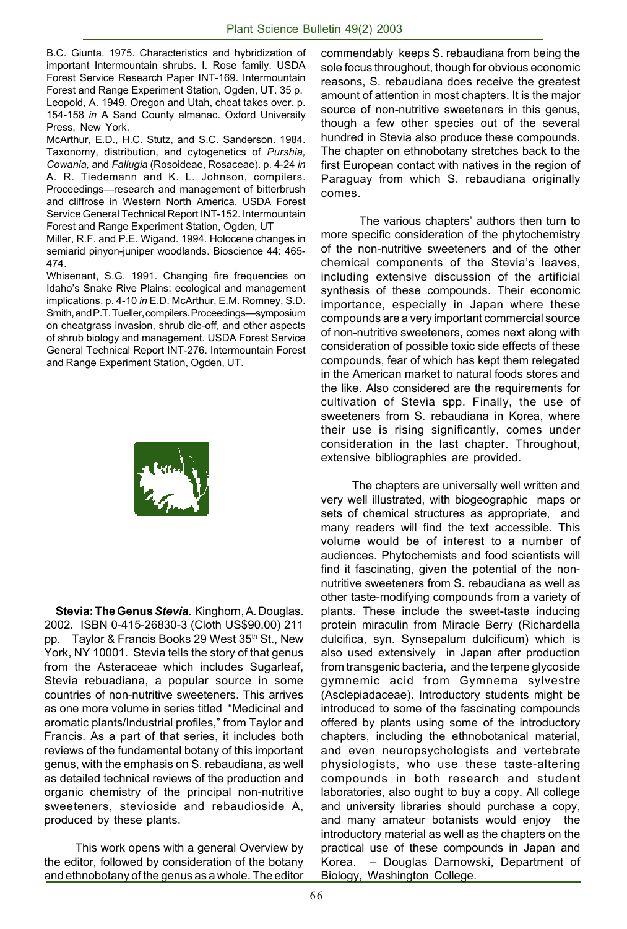B.C. Giunta. 1975. Characteristics and hybridization of important Intermountain shrubs. I. Rose family. USDA Forest Service Research Paper INT-169. Intermountain Forest and Range Experiment Station, Ogden, UT. 35 p. Leopold, A. 1949. Oregon and Utah, cheat takes over. p. 154-158 *in* A Sand County almanac. Oxford University Press, New York.

McArthur, E.D., H.C. Stutz, and S.C. Sanderson. 1984. Taxonomy, distribution, and cytogenetics of *Purshia, Cowania,* and *Fallugia* (Rosoideae, Rosaceae). p. 4-24 *in* A. R. Tiedemann and K. L. Johnson, compilers. Proceedings—research and management of bitterbrush and cliffrose in Western North America. USDA Forest Service General Technical Report INT-152. Intermountain Forest and Range Experiment Station, Ogden, UT

Miller, R.F. and P.E. Wigand. 1994. Holocene changes in semiarid pinyon-juniper woodlands. Bioscience 44: 465- 474.

Whisenant, S.G. 1991. Changing fire frequencies on Idaho's Snake Rive Plains: ecological and management implications. p. 4-10 *in* E.D. McArthur, E.M. Romney, S.D. Smith, and P.T. Tueller, compilers. Proceedings—symposium on cheatgrass invasion, shrub die-off, and other aspects of shrub biology and management. USDA Forest Service General Technical Report INT-276. Intermountain Forest and Range Experiment Station, Ogden, UT.



 **Stevia: The Genus** *Stevia*. Kinghorn, A. Douglas. 2002. ISBN 0-415-26830-3 (Cloth US\$90.00) 211 pp. Taylor & Francis Books 29 West 35th St., New York, NY 10001. Stevia tells the story of that genus from the Asteraceae which includes Sugarleaf, Stevia rebuadiana, a popular source in some countries of non-nutritive sweeteners. This arrives as one more volume in series titled "Medicinal and aromatic plants/Industrial profiles," from Taylor and Francis. As a part of that series, it includes both reviews of the fundamental botany of this important genus, with the emphasis on S. rebaudiana, as well as detailed technical reviews of the production and organic chemistry of the principal non-nutritive sweeteners, stevioside and rebaudioside A, produced by these plants.

 This work opens with a general Overview by the editor, followed by consideration of the botany and ethnobotany of the genus as a whole. The editor commendably keeps S. rebaudiana from being the sole focus throughout, though for obvious economic reasons, S. rebaudiana does receive the greatest amount of attention in most chapters. It is the major source of non-nutritive sweeteners in this genus, though a few other species out of the several hundred in Stevia also produce these compounds. The chapter on ethnobotany stretches back to the first European contact with natives in the region of Paraguay from which S. rebaudiana originally comes.

 The various chapters' authors then turn to more specific consideration of the phytochemistry of the non-nutritive sweeteners and of the other chemical components of the Stevia's leaves, including extensive discussion of the artificial synthesis of these compounds. Their economic importance, especially in Japan where these compounds are a very important commercial source of non-nutritive sweeteners, comes next along with consideration of possible toxic side effects of these compounds, fear of which has kept them relegated in the American market to natural foods stores and the like. Also considered are the requirements for cultivation of Stevia spp. Finally, the use of sweeteners from S. rebaudiana in Korea, where their use is rising significantly, comes under consideration in the last chapter. Throughout, extensive bibliographies are provided.

 The chapters are universally well written and very well illustrated, with biogeographic maps or sets of chemical structures as appropriate, and many readers will find the text accessible. This volume would be of interest to a number of audiences. Phytochemists and food scientists will find it fascinating, given the potential of the nonnutritive sweeteners from S. rebaudiana as well as other taste-modifying compounds from a variety of plants. These include the sweet-taste inducing protein miraculin from Miracle Berry (Richardella dulcifica, syn. Synsepalum dulcificum) which is also used extensively in Japan after production from transgenic bacteria, and the terpene glycoside gymnemic acid from Gymnema sylvestre (Asclepiadaceae). Introductory students might be introduced to some of the fascinating compounds offered by plants using some of the introductory chapters, including the ethnobotanical material, and even neuropsychologists and vertebrate physiologists, who use these taste-altering compounds in both research and student laboratories, also ought to buy a copy. All college and university libraries should purchase a copy, and many amateur botanists would enjoy the introductory material as well as the chapters on the practical use of these compounds in Japan and Korea. – Douglas Darnowski, Department of Biology, Washington College.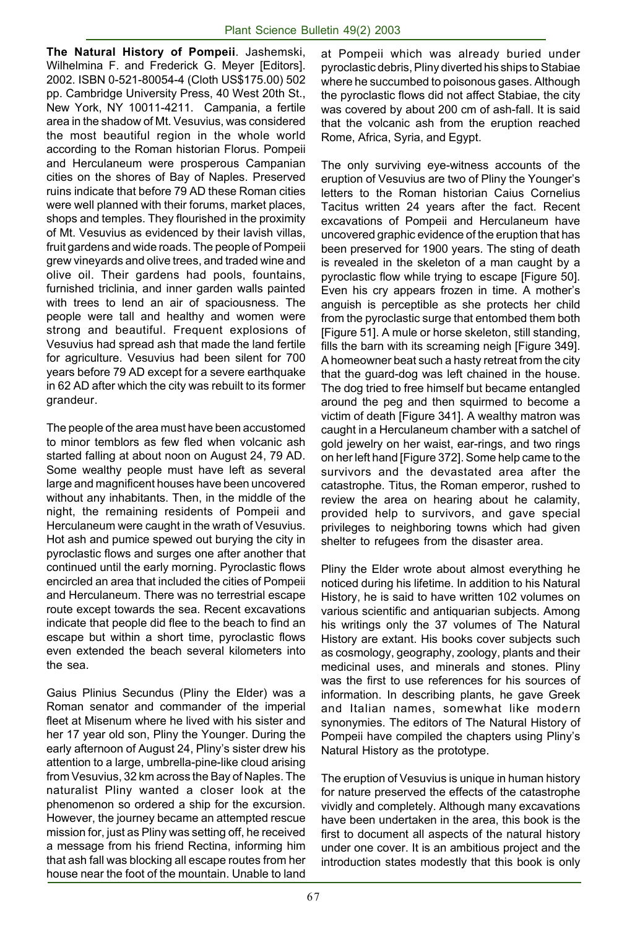**The Natural History of Pompeii**. Jashemski, Wilhelmina F. and Frederick G. Meyer [Editors]. 2002. ISBN 0-521-80054-4 (Cloth US\$175.00) 502 pp. Cambridge University Press, 40 West 20th St., New York, NY 10011-4211. Campania, a fertile area in the shadow of Mt. Vesuvius, was considered the most beautiful region in the whole world according to the Roman historian Florus. Pompeii and Herculaneum were prosperous Campanian cities on the shores of Bay of Naples. Preserved ruins indicate that before 79 AD these Roman cities were well planned with their forums, market places, shops and temples. They flourished in the proximity of Mt. Vesuvius as evidenced by their lavish villas, fruit gardens and wide roads. The people of Pompeii grew vineyards and olive trees, and traded wine and olive oil. Their gardens had pools, fountains, furnished triclinia, and inner garden walls painted with trees to lend an air of spaciousness. The people were tall and healthy and women were strong and beautiful. Frequent explosions of Vesuvius had spread ash that made the land fertile for agriculture. Vesuvius had been silent for 700 years before 79 AD except for a severe earthquake in 62 AD after which the city was rebuilt to its former grandeur.

The people of the area must have been accustomed to minor temblors as few fled when volcanic ash started falling at about noon on August 24, 79 AD. Some wealthy people must have left as several large and magnificent houses have been uncovered without any inhabitants. Then, in the middle of the night, the remaining residents of Pompeii and Herculaneum were caught in the wrath of Vesuvius. Hot ash and pumice spewed out burying the city in pyroclastic flows and surges one after another that continued until the early morning. Pyroclastic flows encircled an area that included the cities of Pompeii and Herculaneum. There was no terrestrial escape route except towards the sea. Recent excavations indicate that people did flee to the beach to find an escape but within a short time, pyroclastic flows even extended the beach several kilometers into the sea.

Gaius Plinius Secundus (Pliny the Elder) was a Roman senator and commander of the imperial fleet at Misenum where he lived with his sister and her 17 year old son, Pliny the Younger. During the early afternoon of August 24, Pliny's sister drew his attention to a large, umbrella-pine-like cloud arising from Vesuvius, 32 km across the Bay of Naples. The naturalist Pliny wanted a closer look at the phenomenon so ordered a ship for the excursion. However, the journey became an attempted rescue mission for, just as Pliny was setting off, he received a message from his friend Rectina, informing him that ash fall was blocking all escape routes from her house near the foot of the mountain. Unable to land

at Pompeii which was already buried under pyroclastic debris, Pliny diverted his ships to Stabiae where he succumbed to poisonous gases. Although the pyroclastic flows did not affect Stabiae, the city was covered by about 200 cm of ash-fall. It is said that the volcanic ash from the eruption reached Rome, Africa, Syria, and Egypt.

The only surviving eye-witness accounts of the eruption of Vesuvius are two of Pliny the Younger's letters to the Roman historian Caius Cornelius Tacitus written 24 years after the fact. Recent excavations of Pompeii and Herculaneum have uncovered graphic evidence of the eruption that has been preserved for 1900 years. The sting of death is revealed in the skeleton of a man caught by a pyroclastic flow while trying to escape [Figure 50]. Even his cry appears frozen in time. A mother's anguish is perceptible as she protects her child from the pyroclastic surge that entombed them both [Figure 51]. A mule or horse skeleton, still standing, fills the barn with its screaming neigh [Figure 349]. A homeowner beat such a hasty retreat from the city that the guard-dog was left chained in the house. The dog tried to free himself but became entangled around the peg and then squirmed to become a victim of death [Figure 341]. A wealthy matron was caught in a Herculaneum chamber with a satchel of gold jewelry on her waist, ear-rings, and two rings on her left hand [Figure 372]. Some help came to the survivors and the devastated area after the catastrophe. Titus, the Roman emperor, rushed to review the area on hearing about he calamity, provided help to survivors, and gave special privileges to neighboring towns which had given shelter to refugees from the disaster area.

Pliny the Elder wrote about almost everything he noticed during his lifetime. In addition to his Natural History, he is said to have written 102 volumes on various scientific and antiquarian subjects. Among his writings only the 37 volumes of The Natural History are extant. His books cover subjects such as cosmology, geography, zoology, plants and their medicinal uses, and minerals and stones. Pliny was the first to use references for his sources of information. In describing plants, he gave Greek and Italian names, somewhat like modern synonymies. The editors of The Natural History of Pompeii have compiled the chapters using Pliny's Natural History as the prototype.

The eruption of Vesuvius is unique in human history for nature preserved the effects of the catastrophe vividly and completely. Although many excavations have been undertaken in the area, this book is the first to document all aspects of the natural history under one cover. It is an ambitious project and the introduction states modestly that this book is only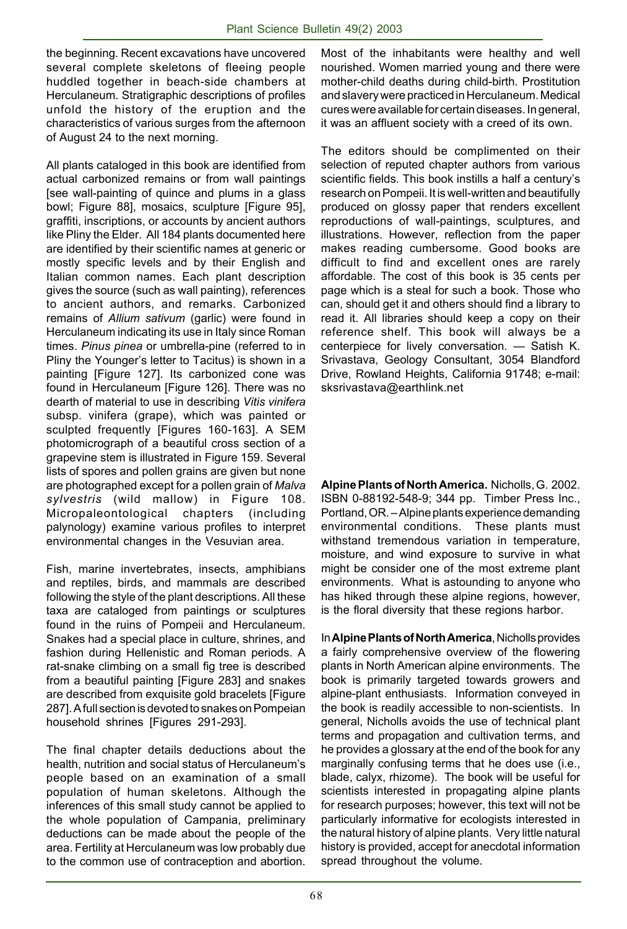the beginning. Recent excavations have uncovered several complete skeletons of fleeing people huddled together in beach-side chambers at Herculaneum. Stratigraphic descriptions of profiles unfold the history of the eruption and the characteristics of various surges from the afternoon of August 24 to the next morning.

All plants cataloged in this book are identified from actual carbonized remains or from wall paintings [see wall-painting of quince and plums in a glass bowl; Figure 88], mosaics, sculpture [Figure 95], graffiti, inscriptions, or accounts by ancient authors like Pliny the Elder. All 184 plants documented here are identified by their scientific names at generic or mostly specific levels and by their English and Italian common names. Each plant description gives the source (such as wall painting), references to ancient authors, and remarks. Carbonized remains of *Allium sativum* (garlic) were found in Herculaneum indicating its use in Italy since Roman times. *Pinus pinea* or umbrella-pine (referred to in Pliny the Younger's letter to Tacitus) is shown in a painting [Figure 127]. Its carbonized cone was found in Herculaneum [Figure 126]. There was no dearth of material to use in describing *Vitis vinifera* subsp. vinifera (grape), which was painted or sculpted frequently [Figures 160-163]. A SEM photomicrograph of a beautiful cross section of a grapevine stem is illustrated in Figure 159. Several lists of spores and pollen grains are given but none are photographed except for a pollen grain of *Malva sylvestris* (wild mallow) in Figure 108. Micropaleontological chapters (including palynology) examine various profiles to interpret environmental changes in the Vesuvian area.

Fish, marine invertebrates, insects, amphibians and reptiles, birds, and mammals are described following the style of the plant descriptions. All these taxa are cataloged from paintings or sculptures found in the ruins of Pompeii and Herculaneum. Snakes had a special place in culture, shrines, and fashion during Hellenistic and Roman periods. A rat-snake climbing on a small fig tree is described from a beautiful painting [Figure 283] and snakes are described from exquisite gold bracelets [Figure 287]. A full section is devoted to snakes on Pompeian household shrines [Figures 291-293].

The final chapter details deductions about the health, nutrition and social status of Herculaneum's people based on an examination of a small population of human skeletons. Although the inferences of this small study cannot be applied to the whole population of Campania, preliminary deductions can be made about the people of the area. Fertility at Herculaneum was low probably due to the common use of contraception and abortion.

Most of the inhabitants were healthy and well nourished. Women married young and there were mother-child deaths during child-birth. Prostitution and slavery were practiced in Herculaneum. Medical cures were available for certain diseases. In general, it was an affluent society with a creed of its own.

The editors should be complimented on their selection of reputed chapter authors from various scientific fields. This book instills a half a century's research on Pompeii. It is well-written and beautifully produced on glossy paper that renders excellent reproductions of wall-paintings, sculptures, and illustrations. However, reflection from the paper makes reading cumbersome. Good books are difficult to find and excellent ones are rarely affordable. The cost of this book is 35 cents per page which is a steal for such a book. Those who can, should get it and others should find a library to read it. All libraries should keep a copy on their reference shelf. This book will always be a centerpiece for lively conversation. — Satish K. Srivastava, Geology Consultant, 3054 Blandford Drive, Rowland Heights, California 91748; e-mail: sksrivastava@earthlink.net

**Alpine Plants of North America.** Nicholls, G. 2002. ISBN 0-88192-548-9; 344 pp. Timber Press Inc., Portland, OR. – Alpine plants experience demanding environmental conditions. These plants must withstand tremendous variation in temperature, moisture, and wind exposure to survive in what might be consider one of the most extreme plant environments. What is astounding to anyone who has hiked through these alpine regions, however, is the floral diversity that these regions harbor.

In **Alpine Plants of North America**, Nicholls provides a fairly comprehensive overview of the flowering plants in North American alpine environments. The book is primarily targeted towards growers and alpine-plant enthusiasts. Information conveyed in the book is readily accessible to non-scientists. In general, Nicholls avoids the use of technical plant terms and propagation and cultivation terms, and he provides a glossary at the end of the book for any marginally confusing terms that he does use (i.e., blade, calyx, rhizome). The book will be useful for scientists interested in propagating alpine plants for research purposes; however, this text will not be particularly informative for ecologists interested in the natural history of alpine plants. Very little natural history is provided, accept for anecdotal information spread throughout the volume.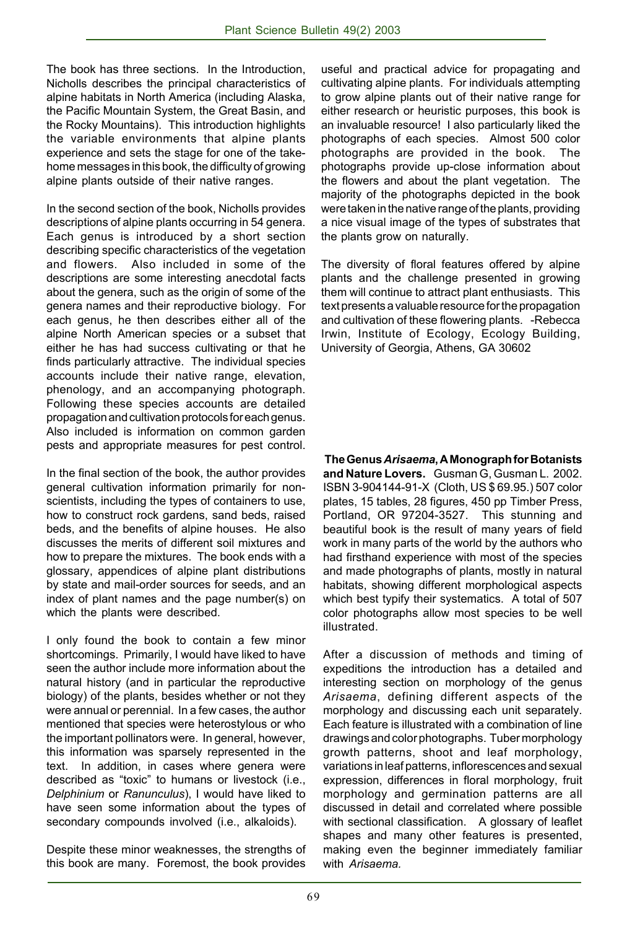The book has three sections. In the Introduction, Nicholls describes the principal characteristics of alpine habitats in North America (including Alaska, the Pacific Mountain System, the Great Basin, and the Rocky Mountains). This introduction highlights the variable environments that alpine plants experience and sets the stage for one of the takehome messages in this book, the difficulty of growing alpine plants outside of their native ranges.

In the second section of the book, Nicholls provides descriptions of alpine plants occurring in 54 genera. Each genus is introduced by a short section describing specific characteristics of the vegetation and flowers. Also included in some of the descriptions are some interesting anecdotal facts about the genera, such as the origin of some of the genera names and their reproductive biology. For each genus, he then describes either all of the alpine North American species or a subset that either he has had success cultivating or that he finds particularly attractive. The individual species accounts include their native range, elevation, phenology, and an accompanying photograph. Following these species accounts are detailed propagation and cultivation protocols for each genus. Also included is information on common garden pests and appropriate measures for pest control.

In the final section of the book, the author provides general cultivation information primarily for nonscientists, including the types of containers to use, how to construct rock gardens, sand beds, raised beds, and the benefits of alpine houses. He also discusses the merits of different soil mixtures and how to prepare the mixtures. The book ends with a glossary, appendices of alpine plant distributions by state and mail-order sources for seeds, and an index of plant names and the page number(s) on which the plants were described.

I only found the book to contain a few minor shortcomings. Primarily, I would have liked to have seen the author include more information about the natural history (and in particular the reproductive biology) of the plants, besides whether or not they were annual or perennial. In a few cases, the author mentioned that species were heterostylous or who the important pollinators were. In general, however, this information was sparsely represented in the text. In addition, in cases where genera were described as "toxic" to humans or livestock (i.e., *Delphinium* or *Ranunculus*), I would have liked to have seen some information about the types of secondary compounds involved (i.e., alkaloids).

Despite these minor weaknesses, the strengths of this book are many. Foremost, the book provides

useful and practical advice for propagating and cultivating alpine plants. For individuals attempting to grow alpine plants out of their native range for either research or heuristic purposes, this book is an invaluable resource! I also particularly liked the photographs of each species. Almost 500 color photographs are provided in the book. The photographs provide up-close information about the flowers and about the plant vegetation. The majority of the photographs depicted in the book were taken in the native range of the plants, providing a nice visual image of the types of substrates that the plants grow on naturally.

The diversity of floral features offered by alpine plants and the challenge presented in growing them will continue to attract plant enthusiasts. This text presents a valuable resource for the propagation and cultivation of these flowering plants. -Rebecca Irwin, Institute of Ecology, Ecology Building, University of Georgia, Athens, GA 30602

 **The Genus** *Arisaema***, A Monograph for Botanists and Nature Lovers.** Gusman G, Gusman L. 2002. ISBN 3-904144-91-X (Cloth, US \$ 69.95.) 507 color plates, 15 tables, 28 figures, 450 pp Timber Press, Portland, OR 97204-3527. This stunning and beautiful book is the result of many years of field work in many parts of the world by the authors who had firsthand experience with most of the species and made photographs of plants, mostly in natural habitats, showing different morphological aspects which best typify their systematics. A total of 507 color photographs allow most species to be well illustrated.

After a discussion of methods and timing of expeditions the introduction has a detailed and interesting section on morphology of the genus *Arisaema*, defining different aspects of the morphology and discussing each unit separately. Each feature is illustrated with a combination of line drawings and color photographs. Tuber morphology growth patterns, shoot and leaf morphology, variations in leaf patterns, inflorescences and sexual expression, differences in floral morphology, fruit morphology and germination patterns are all discussed in detail and correlated where possible with sectional classification. A glossary of leaflet shapes and many other features is presented, making even the beginner immediately familiar with *Arisaema.*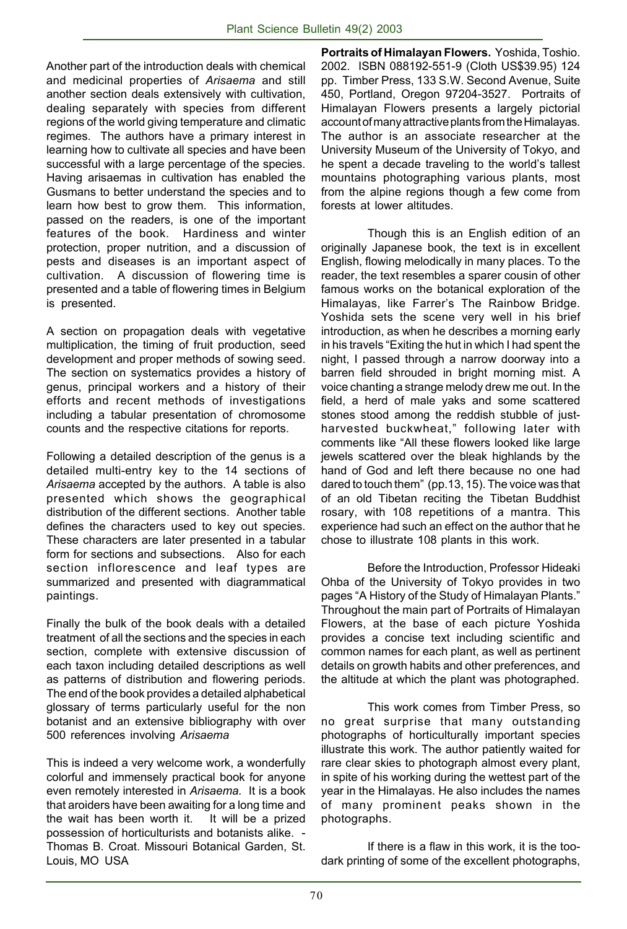Another part of the introduction deals with chemical and medicinal properties of *Arisaema* and still another section deals extensively with cultivation, dealing separately with species from different regions of the world giving temperature and climatic regimes. The authors have a primary interest in learning how to cultivate all species and have been successful with a large percentage of the species. Having arisaemas in cultivation has enabled the Gusmans to better understand the species and to learn how best to grow them. This information, passed on the readers, is one of the important features of the book. Hardiness and winter protection, proper nutrition, and a discussion of pests and diseases is an important aspect of cultivation. A discussion of flowering time is presented and a table of flowering times in Belgium is presented.

A section on propagation deals with vegetative multiplication, the timing of fruit production, seed development and proper methods of sowing seed. The section on systematics provides a history of genus, principal workers and a history of their efforts and recent methods of investigations including a tabular presentation of chromosome counts and the respective citations for reports.

Following a detailed description of the genus is a detailed multi-entry key to the 14 sections of *Arisaema* accepted by the authors. A table is also presented which shows the geographical distribution of the different sections. Another table defines the characters used to key out species. These characters are later presented in a tabular form for sections and subsections. Also for each section inflorescence and leaf types are summarized and presented with diagrammatical paintings.

Finally the bulk of the book deals with a detailed treatment of all the sections and the species in each section, complete with extensive discussion of each taxon including detailed descriptions as well as patterns of distribution and flowering periods. The end of the book provides a detailed alphabetical glossary of terms particularly useful for the non botanist and an extensive bibliography with over 500 references involving *Arisaema*

This is indeed a very welcome work, a wonderfully colorful and immensely practical book for anyone even remotely interested in *Arisaema.* It is a book that aroiders have been awaiting for a long time and the wait has been worth it. It will be a prized possession of horticulturists and botanists alike. - Thomas B. Croat. Missouri Botanical Garden, St. Louis, MO USA

**Portraits of Himalayan Flowers.** Yoshida, Toshio. 2002. ISBN 088192-551-9 (Cloth US\$39.95) 124 pp. Timber Press, 133 S.W. Second Avenue, Suite 450, Portland, Oregon 97204-3527. Portraits of Himalayan Flowers presents a largely pictorial account of many attractive plants from the Himalayas. The author is an associate researcher at the University Museum of the University of Tokyo, and he spent a decade traveling to the world's tallest mountains photographing various plants, most from the alpine regions though a few come from forests at lower altitudes.

Though this is an English edition of an originally Japanese book, the text is in excellent English, flowing melodically in many places. To the reader, the text resembles a sparer cousin of other famous works on the botanical exploration of the Himalayas, like Farrer's The Rainbow Bridge. Yoshida sets the scene very well in his brief introduction, as when he describes a morning early in his travels "Exiting the hut in which I had spent the night, I passed through a narrow doorway into a barren field shrouded in bright morning mist. A voice chanting a strange melody drew me out. In the field, a herd of male yaks and some scattered stones stood among the reddish stubble of justharvested buckwheat," following later with comments like "All these flowers looked like large jewels scattered over the bleak highlands by the hand of God and left there because no one had dared to touch them" (pp.13, 15). The voice was that of an old Tibetan reciting the Tibetan Buddhist rosary, with 108 repetitions of a mantra. This experience had such an effect on the author that he chose to illustrate 108 plants in this work.

Before the Introduction, Professor Hideaki Ohba of the University of Tokyo provides in two pages "A History of the Study of Himalayan Plants." Throughout the main part of Portraits of Himalayan Flowers, at the base of each picture Yoshida provides a concise text including scientific and common names for each plant, as well as pertinent details on growth habits and other preferences, and the altitude at which the plant was photographed.

This work comes from Timber Press, so no great surprise that many outstanding photographs of horticulturally important species illustrate this work. The author patiently waited for rare clear skies to photograph almost every plant, in spite of his working during the wettest part of the year in the Himalayas. He also includes the names of many prominent peaks shown in the photographs.

If there is a flaw in this work, it is the toodark printing of some of the excellent photographs,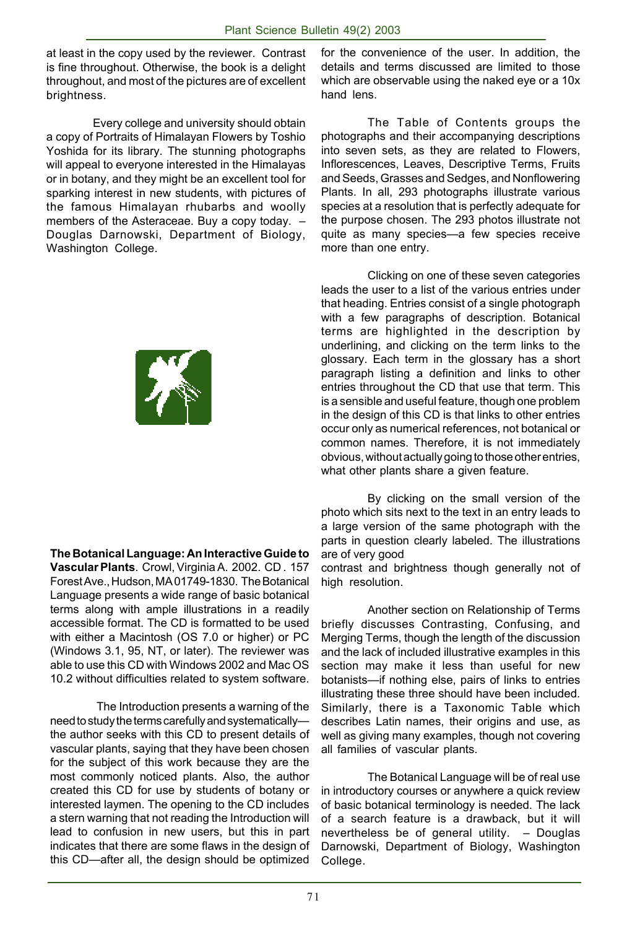at least in the copy used by the reviewer. Contrast is fine throughout. Otherwise, the book is a delight throughout, and most of the pictures are of excellent brightness.

Every college and university should obtain a copy of Portraits of Himalayan Flowers by Toshio Yoshida for its library. The stunning photographs will appeal to everyone interested in the Himalayas or in botany, and they might be an excellent tool for sparking interest in new students, with pictures of the famous Himalayan rhubarbs and woolly members of the Asteraceae. Buy a copy today. – Douglas Darnowski, Department of Biology, Washington College.



**The Botanical Language: An Interactive Guide to Vascular Plants**. Crowl, Virginia A. 2002. CD . 157 Forest Ave., Hudson, MA 01749-1830. The Botanical Language presents a wide range of basic botanical terms along with ample illustrations in a readily accessible format. The CD is formatted to be used with either a Macintosh (OS 7.0 or higher) or PC (Windows 3.1, 95, NT, or later). The reviewer was able to use this CD with Windows 2002 and Mac OS 10.2 without difficulties related to system software.

The Introduction presents a warning of the need to study the terms carefully and systematically the author seeks with this CD to present details of vascular plants, saying that they have been chosen for the subject of this work because they are the most commonly noticed plants. Also, the author created this CD for use by students of botany or interested laymen. The opening to the CD includes a stern warning that not reading the Introduction will lead to confusion in new users, but this in part indicates that there are some flaws in the design of this CD—after all, the design should be optimized for the convenience of the user. In addition, the details and terms discussed are limited to those which are observable using the naked eye or a 10x hand lens.

The Table of Contents groups the photographs and their accompanying descriptions into seven sets, as they are related to Flowers, Inflorescences, Leaves, Descriptive Terms, Fruits and Seeds, Grasses and Sedges, and Nonflowering Plants. In all, 293 photographs illustrate various species at a resolution that is perfectly adequate for the purpose chosen. The 293 photos illustrate not quite as many species—a few species receive more than one entry.

Clicking on one of these seven categories leads the user to a list of the various entries under that heading. Entries consist of a single photograph with a few paragraphs of description. Botanical terms are highlighted in the description by underlining, and clicking on the term links to the glossary. Each term in the glossary has a short paragraph listing a definition and links to other entries throughout the CD that use that term. This is a sensible and useful feature, though one problem in the design of this CD is that links to other entries occur only as numerical references, not botanical or common names. Therefore, it is not immediately obvious, without actually going to those other entries, what other plants share a given feature.

By clicking on the small version of the photo which sits next to the text in an entry leads to a large version of the same photograph with the parts in question clearly labeled. The illustrations are of very good

contrast and brightness though generally not of high resolution.

Another section on Relationship of Terms briefly discusses Contrasting, Confusing, and Merging Terms, though the length of the discussion and the lack of included illustrative examples in this section may make it less than useful for new botanists—if nothing else, pairs of links to entries illustrating these three should have been included. Similarly, there is a Taxonomic Table which describes Latin names, their origins and use, as well as giving many examples, though not covering all families of vascular plants.

The Botanical Language will be of real use in introductory courses or anywhere a quick review of basic botanical terminology is needed. The lack of a search feature is a drawback, but it will nevertheless be of general utility. – Douglas Darnowski, Department of Biology, Washington College.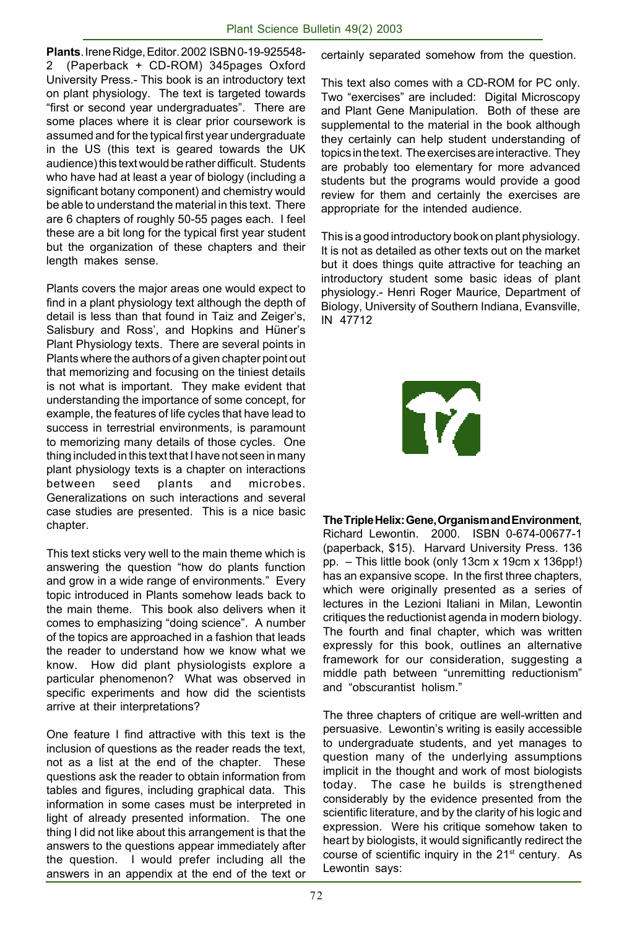**Plants**. Irene Ridge, Editor. 2002 ISBN 0-19-925548- 2 (Paperback + CD-ROM) 345pages Oxford University Press.- This book is an introductory text on plant physiology. The text is targeted towards "first or second year undergraduates". There are some places where it is clear prior coursework is assumed and for the typical first year undergraduate in the US (this text is geared towards the UK audience) this text would be rather difficult. Students who have had at least a year of biology (including a significant botany component) and chemistry would be able to understand the material in this text. There are 6 chapters of roughly 50-55 pages each. I feel these are a bit long for the typical first year student but the organization of these chapters and their length makes sense.

Plants covers the major areas one would expect to find in a plant physiology text although the depth of detail is less than that found in Taiz and Zeiger's, Salisbury and Ross', and Hopkins and Hüner's Plant Physiology texts. There are several points in Plants where the authors of a given chapter point out that memorizing and focusing on the tiniest details is not what is important. They make evident that understanding the importance of some concept, for example, the features of life cycles that have lead to success in terrestrial environments, is paramount to memorizing many details of those cycles. One thing included in this text that I have not seen in many plant physiology texts is a chapter on interactions between seed plants and microbes. Generalizations on such interactions and several case studies are presented. This is a nice basic chapter.

This text sticks very well to the main theme which is answering the question "how do plants function and grow in a wide range of environments." Every topic introduced in Plants somehow leads back to the main theme. This book also delivers when it comes to emphasizing "doing science". A number of the topics are approached in a fashion that leads the reader to understand how we know what we know. How did plant physiologists explore a particular phenomenon? What was observed in specific experiments and how did the scientists arrive at their interpretations?

One feature I find attractive with this text is the inclusion of questions as the reader reads the text, not as a list at the end of the chapter. These questions ask the reader to obtain information from tables and figures, including graphical data. This information in some cases must be interpreted in light of already presented information. The one thing I did not like about this arrangement is that the answers to the questions appear immediately after the question. I would prefer including all the answers in an appendix at the end of the text or certainly separated somehow from the question.

This text also comes with a CD-ROM for PC only. Two "exercises" are included: Digital Microscopy and Plant Gene Manipulation. Both of these are supplemental to the material in the book although they certainly can help student understanding of topics in the text. The exercises are interactive. They are probably too elementary for more advanced students but the programs would provide a good review for them and certainly the exercises are appropriate for the intended audience.

This is a good introductory book on plant physiology. It is not as detailed as other texts out on the market but it does things quite attractive for teaching an introductory student some basic ideas of plant physiology.- Henri Roger Maurice, Department of Biology, University of Southern Indiana, Evansville, IN 47712



**The Triple Helix: Gene, Organism and Environment**, Richard Lewontin. 2000. ISBN 0-674-00677-1 (paperback, \$15). Harvard University Press. 136 pp. – This little book (only 13cm x 19cm x 136pp!) has an expansive scope. In the first three chapters, which were originally presented as a series of lectures in the Lezioni Italiani in Milan, Lewontin critiques the reductionist agenda in modern biology. The fourth and final chapter, which was written expressly for this book, outlines an alternative framework for our consideration, suggesting a middle path between "unremitting reductionism" and "obscurantist holism."

The three chapters of critique are well-written and persuasive. Lewontin's writing is easily accessible to undergraduate students, and yet manages to question many of the underlying assumptions implicit in the thought and work of most biologists today. The case he builds is strengthened considerably by the evidence presented from the scientific literature, and by the clarity of his logic and expression. Were his critique somehow taken to heart by biologists, it would significantly redirect the course of scientific inquiry in the  $21<sup>st</sup>$  century. As Lewontin says: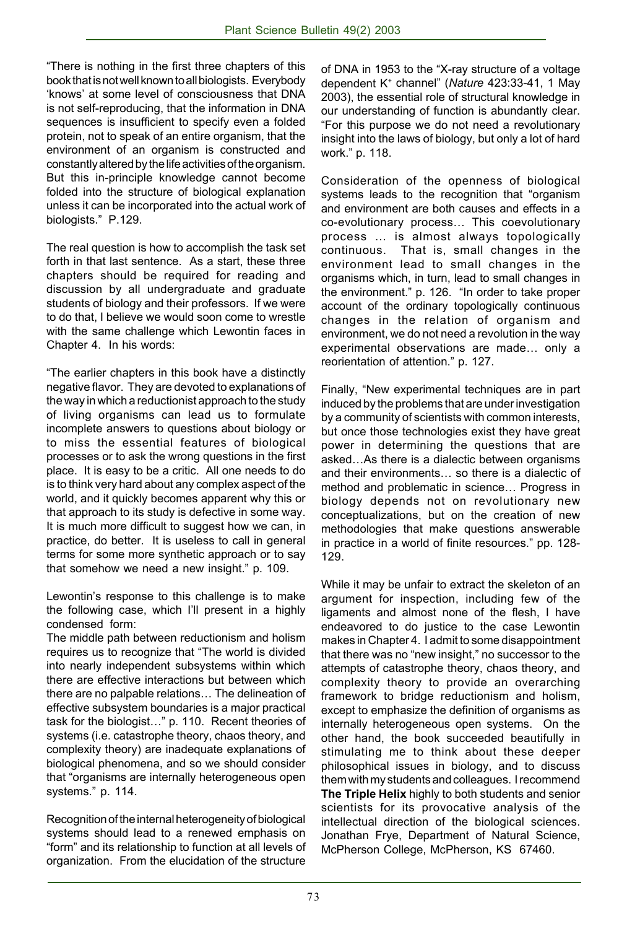"There is nothing in the first three chapters of this book that is not well known to all biologists. Everybody 'knows' at some level of consciousness that DNA is not self-reproducing, that the information in DNA sequences is insufficient to specify even a folded protein, not to speak of an entire organism, that the environment of an organism is constructed and constantly altered by the life activities of the organism. But this in-principle knowledge cannot become folded into the structure of biological explanation unless it can be incorporated into the actual work of biologists." P.129.

The real question is how to accomplish the task set forth in that last sentence. As a start, these three chapters should be required for reading and discussion by all undergraduate and graduate students of biology and their professors. If we were to do that, I believe we would soon come to wrestle with the same challenge which Lewontin faces in Chapter 4. In his words:

"The earlier chapters in this book have a distinctly negative flavor. They are devoted to explanations of the way in which a reductionist approach to the study of living organisms can lead us to formulate incomplete answers to questions about biology or to miss the essential features of biological processes or to ask the wrong questions in the first place. It is easy to be a critic. All one needs to do is to think very hard about any complex aspect of the world, and it quickly becomes apparent why this or that approach to its study is defective in some way. It is much more difficult to suggest how we can, in practice, do better. It is useless to call in general terms for some more synthetic approach or to say that somehow we need a new insight." p. 109.

Lewontin's response to this challenge is to make the following case, which I'll present in a highly condensed form:

The middle path between reductionism and holism requires us to recognize that "The world is divided into nearly independent subsystems within which there are effective interactions but between which there are no palpable relations… The delineation of effective subsystem boundaries is a major practical task for the biologist…" p. 110. Recent theories of systems (i.e. catastrophe theory, chaos theory, and complexity theory) are inadequate explanations of biological phenomena, and so we should consider that "organisms are internally heterogeneous open systems." p. 114.

Recognition of the internal heterogeneity of biological systems should lead to a renewed emphasis on "form" and its relationship to function at all levels of organization. From the elucidation of the structure

of DNA in 1953 to the "X-ray structure of a voltage dependent K+ channel" (*Nature* 423:33-41, 1 May 2003), the essential role of structural knowledge in our understanding of function is abundantly clear. "For this purpose we do not need a revolutionary insight into the laws of biology, but only a lot of hard work." p. 118.

Consideration of the openness of biological systems leads to the recognition that "organism and environment are both causes and effects in a co-evolutionary process… This coevolutionary process … is almost always topologically continuous. That is, small changes in the environment lead to small changes in the organisms which, in turn, lead to small changes in the environment." p. 126. "In order to take proper account of the ordinary topologically continuous changes in the relation of organism and environment, we do not need a revolution in the way experimental observations are made… only a reorientation of attention." p. 127.

Finally, "New experimental techniques are in part induced by the problems that are under investigation by a community of scientists with common interests, but once those technologies exist they have great power in determining the questions that are asked…As there is a dialectic between organisms and their environments… so there is a dialectic of method and problematic in science… Progress in biology depends not on revolutionary new conceptualizations, but on the creation of new methodologies that make questions answerable in practice in a world of finite resources." pp. 128- 129.

While it may be unfair to extract the skeleton of an argument for inspection, including few of the ligaments and almost none of the flesh, I have endeavored to do justice to the case Lewontin makes in Chapter 4. I admit to some disappointment that there was no "new insight," no successor to the attempts of catastrophe theory, chaos theory, and complexity theory to provide an overarching framework to bridge reductionism and holism, except to emphasize the definition of organisms as internally heterogeneous open systems. On the other hand, the book succeeded beautifully in stimulating me to think about these deeper philosophical issues in biology, and to discuss them with my students and colleagues. I recommend **The Triple Helix** highly to both students and senior scientists for its provocative analysis of the intellectual direction of the biological sciences. Jonathan Frye, Department of Natural Science, McPherson College, McPherson, KS 67460.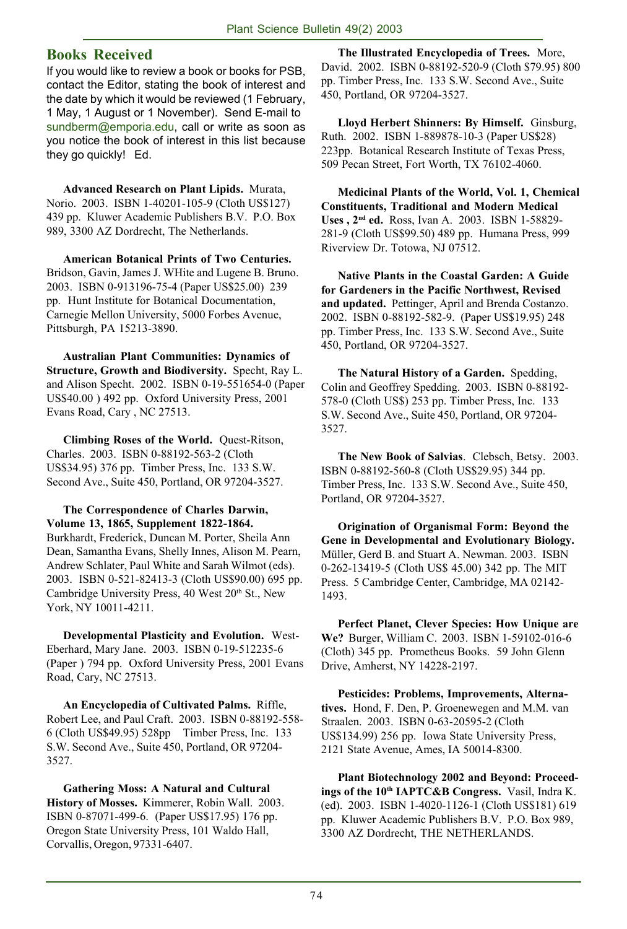## **Books Received**

If you would like to review a book or books for PSB, contact the Editor, stating the book of interest and the date by which it would be reviewed (1 February, 1 May, 1 August or 1 November). Send E-mail to sundberm@emporia.edu, call or write as soon as you notice the book of interest in this list because they go quickly! Ed.

**Advanced Research on Plant Lipids.** Murata, Norio. 2003. ISBN 1-40201-105-9 (Cloth US\$127) 439 pp. Kluwer Academic Publishers B.V. P.O. Box 989, 3300 AZ Dordrecht, The Netherlands.

**American Botanical Prints of Two Centuries.** Bridson, Gavin, James J. WHite and Lugene B. Bruno. 2003. ISBN 0-913196-75-4 (Paper US\$25.00) 239 pp. Hunt Institute for Botanical Documentation, Carnegie Mellon University, 5000 Forbes Avenue, Pittsburgh, PA 15213-3890.

**Australian Plant Communities: Dynamics of Structure, Growth and Biodiversity.** Specht, Ray L. and Alison Specht. 2002. ISBN 0-19-551654-0 (Paper US\$40.00 ) 492 pp. Oxford University Press, 2001 Evans Road, Cary , NC 27513.

**Climbing Roses of the World.** Quest-Ritson, Charles. 2003. ISBN 0-88192-563-2 (Cloth US\$34.95) 376 pp. Timber Press, Inc. 133 S.W. Second Ave., Suite 450, Portland, OR 97204-3527.

#### **The Correspondence of Charles Darwin, Volume 13, 1865, Supplement 1822-1864.**

Burkhardt, Frederick, Duncan M. Porter, Sheila Ann Dean, Samantha Evans, Shelly Innes, Alison M. Pearn, Andrew Schlater, Paul White and Sarah Wilmot (eds). 2003. ISBN 0-521-82413-3 (Cloth US\$90.00) 695 pp. Cambridge University Press, 40 West 20th St., New York, NY 10011-4211.

**Developmental Plasticity and Evolution.** West-Eberhard, Mary Jane. 2003. ISBN 0-19-512235-6 (Paper ) 794 pp. Oxford University Press, 2001 Evans Road, Cary, NC 27513.

**An Encyclopedia of Cultivated Palms.** Riffle, Robert Lee, and Paul Craft. 2003. ISBN 0-88192-558- 6 (Cloth US\$49.95) 528pp Timber Press, Inc. 133 S.W. Second Ave., Suite 450, Portland, OR 97204- 3527.

**Gathering Moss: A Natural and Cultural History of Mosses.** Kimmerer, Robin Wall. 2003. ISBN 0-87071-499-6. (Paper US\$17.95) 176 pp. Oregon State University Press, 101 Waldo Hall, Corvallis, Oregon, 97331-6407.

**The Illustrated Encyclopedia of Trees.** More, David. 2002. ISBN 0-88192-520-9 (Cloth \$79.95) 800 pp. Timber Press, Inc. 133 S.W. Second Ave., Suite 450, Portland, OR 97204-3527.

**Lloyd Herbert Shinners: By Himself.** Ginsburg, Ruth. 2002. ISBN 1-889878-10-3 (Paper US\$28) 223pp. Botanical Research Institute of Texas Press, 509 Pecan Street, Fort Worth, TX 76102-4060.

**Medicinal Plants of the World, Vol. 1, Chemical Constituents, Traditional and Modern Medical Uses , 2nd ed.** Ross, Ivan A. 2003. ISBN 1-58829- 281-9 (Cloth US\$99.50) 489 pp. Humana Press, 999 Riverview Dr. Totowa, NJ 07512.

**Native Plants in the Coastal Garden: A Guide for Gardeners in the Pacific Northwest, Revised and updated.** Pettinger, April and Brenda Costanzo. 2002. ISBN 0-88192-582-9. (Paper US\$19.95) 248 pp. Timber Press, Inc. 133 S.W. Second Ave., Suite 450, Portland, OR 97204-3527.

**The Natural History of a Garden.** Spedding, Colin and Geoffrey Spedding. 2003. ISBN 0-88192- 578-0 (Cloth US\$) 253 pp. Timber Press, Inc. 133 S.W. Second Ave., Suite 450, Portland, OR 97204- 3527.

**The New Book of Salvias**. Clebsch, Betsy. 2003. ISBN 0-88192-560-8 (Cloth US\$29.95) 344 pp. Timber Press, Inc. 133 S.W. Second Ave., Suite 450, Portland, OR 97204-3527.

**Origination of Organismal Form: Beyond the Gene in Developmental and Evolutionary Biology.** Müller, Gerd B. and Stuart A. Newman. 2003. ISBN 0-262-13419-5 (Cloth US\$ 45.00) 342 pp. The MIT Press. 5 Cambridge Center, Cambridge, MA 02142- 1493.

**Perfect Planet, Clever Species: How Unique are We?** Burger, William C. 2003. ISBN 1-59102-016-6 (Cloth) 345 pp. Prometheus Books. 59 John Glenn Drive, Amherst, NY 14228-2197.

**Pesticides: Problems, Improvements, Alternatives.** Hond, F. Den, P. Groenewegen and M.M. van Straalen. 2003. ISBN 0-63-20595-2 (Cloth US\$134.99) 256 pp. Iowa State University Press, 2121 State Avenue, Ames, IA 50014-8300.

**Plant Biotechnology 2002 and Beyond: Proceedings of the 10th IAPTC&B Congress.** Vasil, Indra K. (ed). 2003. ISBN 1-4020-1126-1 (Cloth US\$181) 619 pp. Kluwer Academic Publishers B.V. P.O. Box 989, 3300 AZ Dordrecht, THE NETHERLANDS.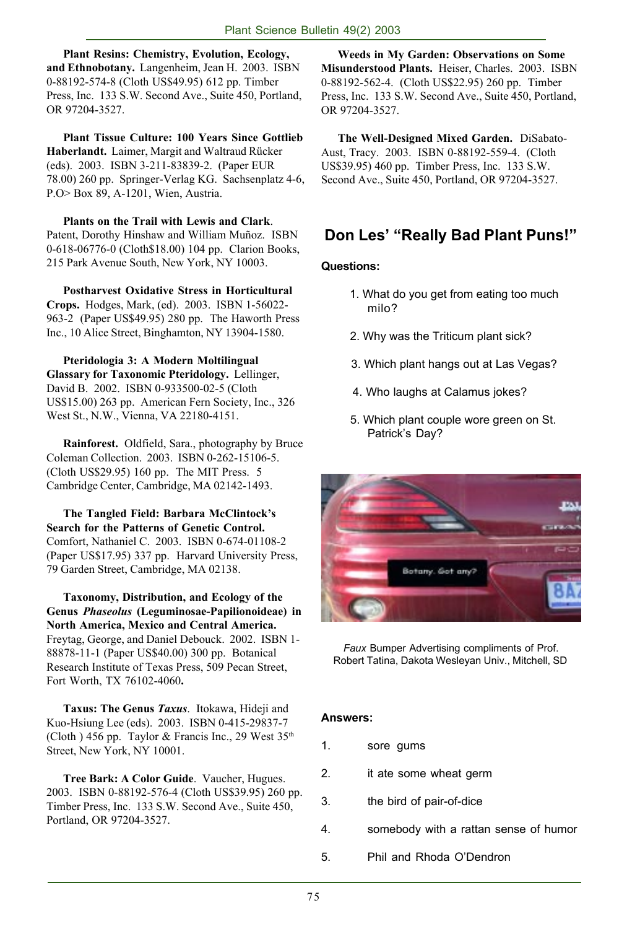**Plant Resins: Chemistry, Evolution, Ecology, and Ethnobotany.** Langenheim, Jean H. 2003. ISBN 0-88192-574-8 (Cloth US\$49.95) 612 pp. Timber Press, Inc. 133 S.W. Second Ave., Suite 450, Portland, OR 97204-3527.

**Plant Tissue Culture: 100 Years Since Gottlieb Haberlandt.** Laimer, Margit and Waltraud Rücker (eds). 2003. ISBN 3-211-83839-2. (Paper EUR 78.00) 260 pp. Springer-Verlag KG. Sachsenplatz 4-6, P.O> Box 89, A-1201, Wien, Austria.

**Plants on the Trail with Lewis and Clark**. Patent, Dorothy Hinshaw and William Muñoz. ISBN 0-618-06776-0 (Cloth\$18.00) 104 pp. Clarion Books, 215 Park Avenue South, New York, NY 10003.

**Postharvest Oxidative Stress in Horticultural Crops.** Hodges, Mark, (ed). 2003. ISBN 1-56022- 963-2 (Paper US\$49.95) 280 pp. The Haworth Press Inc., 10 Alice Street, Binghamton, NY 13904-1580.

**Pteridologia 3: A Modern Moltilingual Glassary for Taxonomic Pteridology.** Lellinger, David B. 2002. ISBN 0-933500-02-5 (Cloth US\$15.00) 263 pp. American Fern Society, Inc., 326 West St., N.W., Vienna, VA 22180-4151.

**Rainforest.** Oldfield, Sara., photography by Bruce Coleman Collection. 2003. ISBN 0-262-15106-5. (Cloth US\$29.95) 160 pp. The MIT Press. 5 Cambridge Center, Cambridge, MA 02142-1493.

**The Tangled Field: Barbara McClintock's Search for the Patterns of Genetic Control.** Comfort, Nathaniel C. 2003. ISBN 0-674-01108-2 (Paper US\$17.95) 337 pp. Harvard University Press, 79 Garden Street, Cambridge, MA 02138.

**Taxonomy, Distribution, and Ecology of the Genus** *Phaseolus* **(Leguminosae-Papilionoideae) in North America, Mexico and Central America.** Freytag, George, and Daniel Debouck. 2002. ISBN 1- 88878-11-1 (Paper US\$40.00) 300 pp. Botanical Research Institute of Texas Press, 509 Pecan Street, Fort Worth, TX 76102-4060**.**

**Taxus: The Genus** *Taxus*. Itokawa, Hideji and Kuo-Hsiung Lee (eds). 2003. ISBN 0-415-29837-7 (Cloth ) 456 pp. Taylor & Francis Inc., 29 West  $35<sup>th</sup>$ Street, New York, NY 10001.

**Tree Bark: A Color Guide**. Vaucher, Hugues. 2003. ISBN 0-88192-576-4 (Cloth US\$39.95) 260 pp. Timber Press, Inc. 133 S.W. Second Ave., Suite 450, Portland, OR 97204-3527.

**Weeds in My Garden: Observations on Some Misunderstood Plants.** Heiser, Charles. 2003. ISBN 0-88192-562-4. (Cloth US\$22.95) 260 pp. Timber Press, Inc. 133 S.W. Second Ave., Suite 450, Portland, OR 97204-3527.

**The Well-Designed Mixed Garden.** DiSabato-Aust, Tracy. 2003. ISBN 0-88192-559-4. (Cloth US\$39.95) 460 pp. Timber Press, Inc. 133 S.W. Second Ave., Suite 450, Portland, OR 97204-3527.

# **Don Les' "Really Bad Plant Puns!"**

#### **Questions:**

- 1. What do you get from eating too much milo?
- 2. Why was the Triticum plant sick?
- 3. Which plant hangs out at Las Vegas?
- 4. Who laughs at Calamus jokes?
- 5. Which plant couple wore green on St. Patrick's Day?



 *Faux* Bumper Advertising compliments of Prof. Robert Tatina, Dakota Wesleyan Univ., Mitchell, SD

#### **Answers:**

- 1. sore gums
- 2. it ate some wheat germ
- 3. the bird of pair-of-dice
- 4. somebody with a rattan sense of humor
- 5. Phil and Rhoda O'Dendron